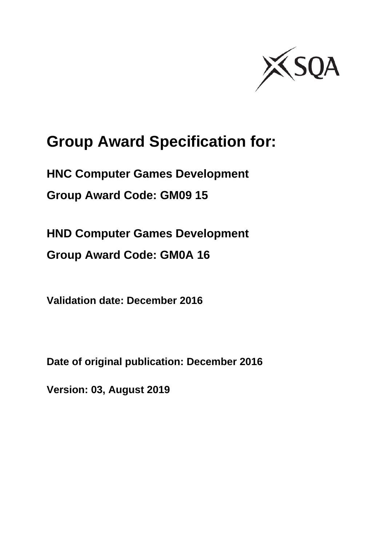

# **Group Award Specification for:**

**HNC Computer Games Development Group Award Code: GM09 15** 

**HND Computer Games Development Group Award Code: GM0A 16** 

**Validation date: December 2016** 

**Date of original publication: December 2016** 

**Version: 03, August 2019**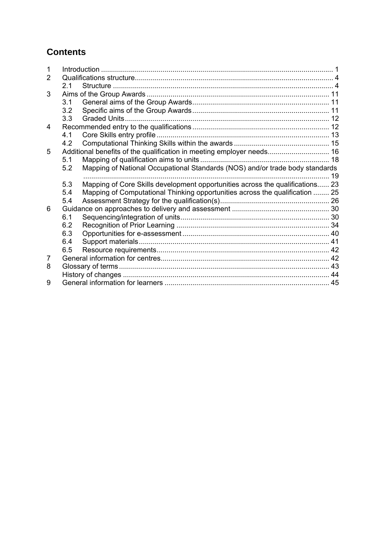# **Contents**

| 1 |     |                                                                               |  |
|---|-----|-------------------------------------------------------------------------------|--|
| 2 |     |                                                                               |  |
|   | 21  |                                                                               |  |
| 3 |     |                                                                               |  |
|   | 3.1 |                                                                               |  |
|   | 3.2 |                                                                               |  |
|   | 3.3 |                                                                               |  |
| 4 |     |                                                                               |  |
|   | 4.1 |                                                                               |  |
|   | 4.2 |                                                                               |  |
| 5 |     | Additional benefits of the qualification in meeting employer needs 16         |  |
|   | 5.1 |                                                                               |  |
|   | 5.2 | Mapping of National Occupational Standards (NOS) and/or trade body standards  |  |
|   |     |                                                                               |  |
|   | 5.3 | Mapping of Core Skills development opportunities across the qualifications 23 |  |
|   | 5.4 | Mapping of Computational Thinking opportunities across the qualification  25  |  |
|   | 5.4 |                                                                               |  |
| 6 |     |                                                                               |  |
|   | 6.1 |                                                                               |  |
|   | 6.2 |                                                                               |  |
|   | 6.3 |                                                                               |  |
|   | 6.4 |                                                                               |  |
|   | 6.5 |                                                                               |  |
| 7 |     |                                                                               |  |
| 8 |     |                                                                               |  |
|   |     |                                                                               |  |
| 9 |     |                                                                               |  |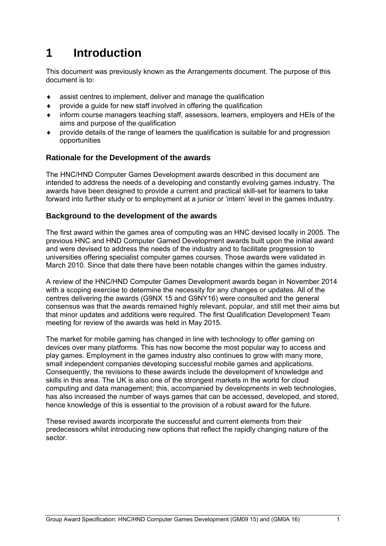# **1 Introduction**

This document was previously known as the Arrangements document. The purpose of this document is to:

- assist centres to implement, deliver and manage the qualification
- provide a guide for new staff involved in offering the qualification
- inform course managers teaching staff, assessors, learners, employers and HEIs of the aims and purpose of the qualification
- provide details of the range of learners the qualification is suitable for and progression opportunities

#### **Rationale for the Development of the awards**

The HNC/HND Computer Games Development awards described in this document are intended to address the needs of a developing and constantly evolving games industry. The awards have been designed to provide a current and practical skill-set for learners to take forward into further study or to employment at a junior or 'intern' level in the games industry.

#### **Background to the development of the awards**

The first award within the games area of computing was an HNC devised locally in 2005. The previous HNC and HND Computer Gamed Development awards built upon the initial award and were devised to address the needs of the industry and to facilitate progression to universities offering specialist computer games courses. Those awards were validated in March 2010. Since that date there have been notable changes within the games industry.

A review of the HNC/HND Computer Games Development awards began in November 2014 with a scoping exercise to determine the necessity for any changes or updates. All of the centres delivering the awards (G9NX 15 and G9NY16) were consulted and the general consensus was that the awards remained highly relevant, popular, and still met their aims but that minor updates and additions were required. The first Qualification Development Team meeting for review of the awards was held in May 2015.

The market for mobile gaming has changed in line with technology to offer gaming on devices over many platforms. This has now become the most popular way to access and play games. Employment in the games industry also continues to grow with many more, small independent companies developing successful mobile games and applications. Consequently, the revisions to these awards include the development of knowledge and skills in this area. The UK is also one of the strongest markets in the world for cloud computing and data management; this, accompanied by developments in web technologies, has also increased the number of ways games that can be accessed, developed, and stored, hence knowledge of this is essential to the provision of a robust award for the future.

These revised awards incorporate the successful and current elements from their predecessors whilst introducing new options that reflect the rapidly changing nature of the sector.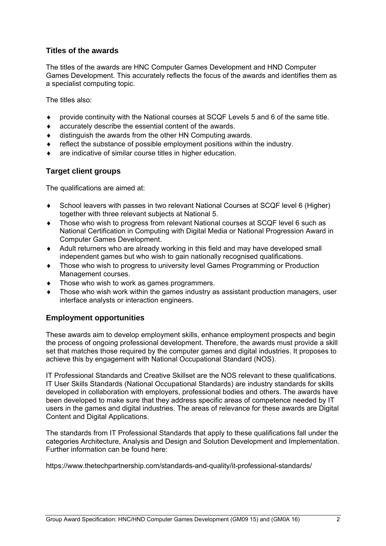#### **Titles of the awards**

The titles of the awards are HNC Computer Games Development and HND Computer Games Development. This accurately reflects the focus of the awards and identifies them as a specialist computing topic.

The titles also:

- provide continuity with the National courses at SCQF Levels 5 and 6 of the same title.
- accurately describe the essential content of the awards.
- distinguish the awards from the other HN Computing awards.
- reflect the substance of possible employment positions within the industry.
- are indicative of similar course titles in higher education.

#### **Target client groups**

The qualifications are aimed at:

- School leavers with passes in two relevant National Courses at SCQF level 6 (Higher) together with three relevant subjects at National 5.
- Those who wish to progress from relevant National courses at SCQF level 6 such as National Certification in Computing with Digital Media or National Progression Award in Computer Games Development.
- Adult returners who are already working in this field and may have developed small independent games but who wish to gain nationally recognised qualifications.
- Those who wish to progress to university level Games Programming or Production Management courses.
- Those who wish to work as games programmers.
- Those who wish work within the games industry as assistant production managers, user interface analysts or interaction engineers.

#### **Employment opportunities**

These awards aim to develop employment skills, enhance employment prospects and begin the process of ongoing professional development. Therefore, the awards must provide a skill set that matches those required by the computer games and digital industries. It proposes to achieve this by engagement with National Occupational Standard (NOS).

IT Professional Standards and Creative Skillset are the NOS relevant to these qualifications. IT User Skills Standards (National Occupational Standards) are industry standards for skills developed in collaboration with employers, professional bodies and others. The awards have been developed to make sure that they address specific areas of competence needed by IT users in the games and digital industries. The areas of relevance for these awards are Digital Content and Digital Applications.

The standards from IT Professional Standards that apply to these qualifications fall under the categories Architecture, Analysis and Design and Solution Development and Implementation. Further information can be found here:

https://www.thetechpartnership.com/standards-and-quality/it-professional-standards/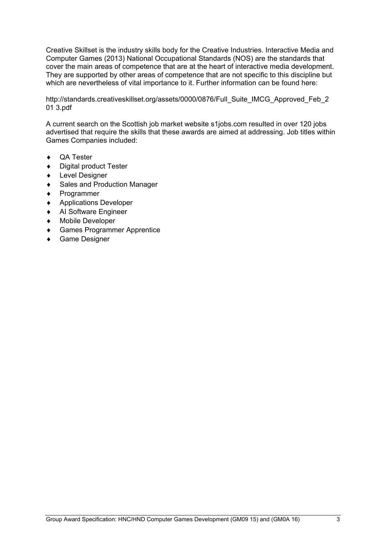Creative Skillset is the industry skills body for the Creative Industries. Interactive Media and Computer Games (2013) National Occupational Standards (NOS) are the standards that cover the main areas of competence that are at the heart of interactive media development. They are supported by other areas of competence that are not specific to this discipline but which are nevertheless of vital importance to it. Further information can be found here:

http://standards.creativeskillset.org/assets/0000/0876/Full\_Suite\_IMCG\_Approved\_Feb\_2 01 3.pdf

A current search on the Scottish job market website s1jobs.com resulted in over 120 jobs advertised that require the skills that these awards are aimed at addressing. Job titles within Games Companies included:

- ◆ **QA Tester**
- ◆ Digital product Tester
- Level Designer
- Sales and Production Manager
- ◆ Programmer
- ◆ Applications Developer
- ◆ AI Software Engineer
- Mobile Developer
- Games Programmer Apprentice
- Game Designer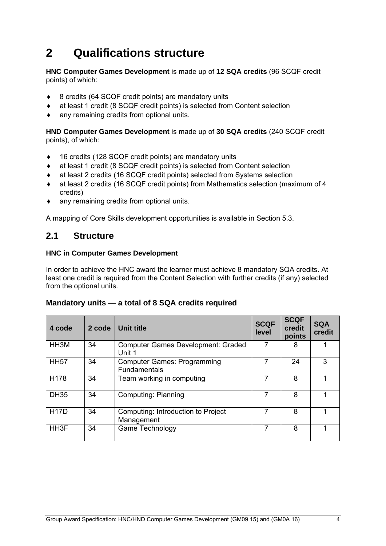# **2 Qualifications structure**

**HNC Computer Games Development** is made up of **12 SQA credits** (96 SCQF credit points) of which:

- ◆ 8 credits (64 SCQF credit points) are mandatory units
- at least 1 credit (8 SCQF credit points) is selected from Content selection
- any remaining credits from optional units.

**HND Computer Games Development** is made up of **30 SQA credits** (240 SCQF credit points), of which:

- ◆ 16 credits (128 SCQF credit points) are mandatory units
- at least 1 credit (8 SCQF credit points) is selected from Content selection
- at least 2 credits (16 SCQF credit points) selected from Systems selection
- at least 2 credits (16 SCQF credit points) from Mathematics selection (maximum of 4 credits)
- any remaining credits from optional units.

A mapping of Core Skills development opportunities is available in Section 5.3.

### **2.1 Structure**

#### **HNC in Computer Games Development**

In order to achieve the HNC award the learner must achieve 8 mandatory SQA credits. At least one credit is required from the Content Selection with further credits (if any) selected from the optional units.

#### **Mandatory units — a total of 8 SQA credits required**

| 4 code            | 2 code | <b>Unit title</b>                                         | <b>SCQF</b><br>level | <b>SCQF</b><br>credit<br>points | <b>SQA</b><br>credit |
|-------------------|--------|-----------------------------------------------------------|----------------------|---------------------------------|----------------------|
| HH3M              | 34     | <b>Computer Games Development: Graded</b><br>Unit 1       | 7                    | 8                               |                      |
| <b>HH57</b>       | 34     | <b>Computer Games: Programming</b><br><b>Fundamentals</b> | 7                    | 24                              | 3                    |
| H178              | 34     | Team working in computing                                 |                      | 8                               |                      |
| <b>DH35</b>       | 34     | <b>Computing: Planning</b>                                |                      | 8                               |                      |
| <b>H17D</b>       | 34     | Computing: Introduction to Project<br>Management          |                      | 8                               |                      |
| HH <sub>3</sub> F | 34     | Game Technology                                           |                      | 8                               |                      |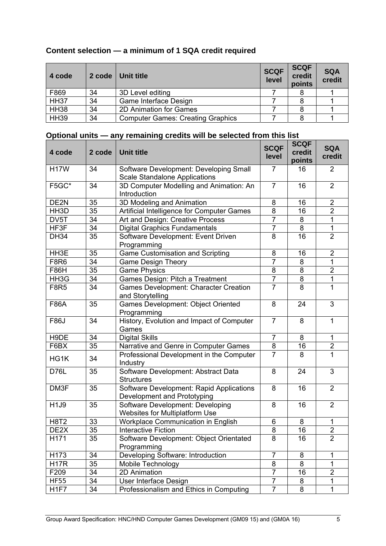| Content selection — a minimum of 1 SQA credit required |  |  |
|--------------------------------------------------------|--|--|
|--------------------------------------------------------|--|--|

| 4 code      | 2 code | Unit title                               | <b>SCQF</b><br>level | <b>SCQF</b><br>credit<br>points | <b>SQA</b><br>credit |
|-------------|--------|------------------------------------------|----------------------|---------------------------------|----------------------|
| F869        | 34     | 3D Level editing                         |                      |                                 |                      |
| <b>HH37</b> | 34     | Game Interface Design                    |                      |                                 |                      |
| <b>HH38</b> | 34     | 2D Animation for Games                   |                      |                                 |                      |
| <b>HH39</b> | 34     | <b>Computer Games: Creating Graphics</b> |                      |                                 |                      |

# **Optional units — any remaining credits will be selected from this list**

| 4 code           | 2 code | <b>Unit title</b>                                                              | <b>SCQF</b><br>level | <b>SCQF</b><br>credit<br>points | <b>SQA</b><br>credit |
|------------------|--------|--------------------------------------------------------------------------------|----------------------|---------------------------------|----------------------|
| <b>H17W</b>      | 34     | Software Development: Developing Small<br><b>Scale Standalone Applications</b> | $\overline{7}$       | 16                              | $\overline{2}$       |
| F5GC*            | 34     | 3D Computer Modelling and Animation: An<br>Introduction                        | $\overline{7}$       | 16                              | $\overline{2}$       |
| DE2N             | 35     | 3D Modeling and Animation                                                      | 8                    | 16                              | $\overline{2}$       |
| HH3D             | 35     | Artificial Intelligence for Computer Games                                     | 8                    | 16                              | $\overline{2}$       |
| DV5T             | 34     | Art and Design: Creative Process                                               | $\overline{7}$       | 8                               | $\mathbf{1}$         |
| HF3F             | 34     | <b>Digital Graphics Fundamentals</b>                                           | $\overline{7}$       | $\overline{8}$                  | 1                    |
| <b>DH34</b>      | 35     | Software Development: Event Driven<br>Programming                              | 8                    | 16                              | $\overline{2}$       |
| HH3E             | 35     | <b>Game Customisation and Scripting</b>                                        | 8                    | 16                              | $\overline{2}$       |
| <b>F8R6</b>      | 34     | <b>Game Design Theory</b>                                                      | $\overline{7}$       | 8                               | 1                    |
| <b>F86H</b>      | 35     | <b>Game Physics</b>                                                            | 8                    | 8                               | $\overline{2}$       |
| HH3G             | 34     | Games Design: Pitch a Treatment                                                | $\overline{7}$       | $\overline{\infty}$             | 1                    |
| <b>F8R5</b>      | 34     | <b>Games Development: Character Creation</b><br>and Storytelling               | $\overline{7}$       | 8                               | 1                    |
| <b>F86A</b>      | 35     | Games Development: Object Oriented<br>Programming                              | 8                    | 24                              | 3                    |
| <b>F86J</b>      | 34     | History, Evolution and Impact of Computer<br>Games                             | $\overline{7}$       | 8                               | $\mathbf{1}$         |
| H9DE             | 34     | <b>Digital Skills</b>                                                          | $\overline{7}$       | 8                               | 1                    |
| F6BX             | 35     | Narrative and Genre in Computer Games                                          | 8                    | 16                              | $\overline{2}$       |
| HG1K             | 34     | Professional Development in the Computer<br>Industry                           | $\overline{7}$       | 8                               | $\mathbf{1}$         |
| <b>D76L</b>      | 35     | Software Development: Abstract Data<br><b>Structures</b>                       | 8                    | 24                              | 3                    |
| DM3F             | 35     | Software Development: Rapid Applications<br>Development and Prototyping        | 8                    | 16                              | $\overline{2}$       |
| H1J9             | 35     | Software Development: Developing<br><b>Websites for Multiplatform Use</b>      | 8                    | 16                              | $\overline{2}$       |
| <b>H8T2</b>      | 33     | Workplace Communication in English                                             | 6                    | 8                               | 1                    |
| DE2X             | 35     | <b>Interactive Fiction</b>                                                     | 8                    | 16                              | $\overline{2}$       |
| H <sub>171</sub> | 35     | Software Development: Object Orientated<br>Programming                         | 8                    | 16                              | $\overline{2}$       |
| H173             | 34     | Developing Software: Introduction                                              | $\overline{7}$       | 8                               | 1                    |
| <b>H17R</b>      | 35     | Mobile Technology                                                              | 8                    | 8                               | $\mathbf{1}$         |
| F209             | 34     | 2D Animation                                                                   | $\overline{7}$       | 16                              | $\overline{2}$       |
| <b>HF55</b>      | 34     | User Interface Design                                                          | $\overline{7}$       | 8                               | $\mathbf 1$          |
| H <sub>1F7</sub> | 34     | Professionalism and Ethics in Computing                                        | $\overline{7}$       | $\overline{8}$                  | $\mathbf{1}$         |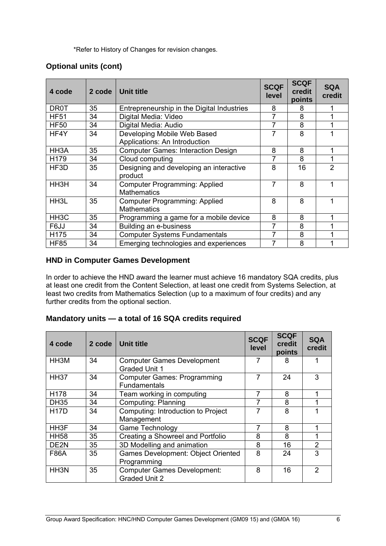\*Refer to History of Changes for revision changes.

#### **Optional units (cont)**

| 4 code            | 2 code | <b>Unit title</b>                                            | <b>SCQF</b><br><b>level</b> | <b>SCQF</b><br>credit<br>points | <b>SQA</b><br>credit |
|-------------------|--------|--------------------------------------------------------------|-----------------------------|---------------------------------|----------------------|
| <b>DR0T</b>       | 35     | Entrepreneurship in the Digital Industries                   | 8                           | 8                               |                      |
| <b>HF51</b>       | 34     | Digital Media: Video                                         | 7                           | 8                               |                      |
| <b>HF50</b>       | 34     | Digital Media: Audio                                         | 7                           | 8                               |                      |
| HF4Y              | 34     | Developing Mobile Web Based<br>Applications: An Introduction | 7                           | 8                               |                      |
| HH <sub>3</sub> A | 35     | <b>Computer Games: Interaction Design</b>                    | 8                           | 8                               |                      |
| H179              | 34     | Cloud computing                                              | 7                           | 8                               |                      |
| HF3D              | 35     | Designing and developing an interactive<br>product           | 8                           | 16                              | $\overline{2}$       |
| HH <sub>3</sub> H | 34     | <b>Computer Programming: Applied</b><br><b>Mathematics</b>   | 7                           | 8                               |                      |
| HH <sub>3</sub> L | 35     | <b>Computer Programming: Applied</b><br><b>Mathematics</b>   | 8                           | 8                               |                      |
| HH <sub>3</sub> C | 35     | Programming a game for a mobile device                       | 8                           | 8                               |                      |
| F6JJ              | 34     | Building an e-business                                       | 7                           | 8                               |                      |
| H175              | 34     | <b>Computer Systems Fundamentals</b>                         | 7                           | 8                               |                      |
| <b>HF85</b>       | 34     | Emerging technologies and experiences                        |                             | 8                               |                      |

#### **HND in Computer Games Development**

In order to achieve the HND award the learner must achieve 16 mandatory SQA credits, plus at least one credit from the Content Selection, at least one credit from Systems Selection, at least two credits from Mathematics Selection (up to a maximum of four credits) and any further credits from the optional section.

#### **Mandatory units — a total of 16 SQA credits required**

| 4 code            | 2 code | <b>Unit title</b>                                          | <b>SCQF</b><br>level | <b>SCQF</b><br>credit<br>points | <b>SQA</b><br>credit |
|-------------------|--------|------------------------------------------------------------|----------------------|---------------------------------|----------------------|
| HH3M              | 34     | <b>Computer Games Development</b><br><b>Graded Unit 1</b>  | $\overline{7}$       | 8                               |                      |
| <b>HH37</b>       | 34     | <b>Computer Games: Programming</b><br><b>Fundamentals</b>  | 7                    | 24                              | 3                    |
| H <sub>178</sub>  | 34     | Team working in computing                                  | 7                    | 8                               | 1                    |
| <b>DH35</b>       | 34     | <b>Computing: Planning</b>                                 | 7                    | 8                               |                      |
| <b>H17D</b>       | 34     | Computing: Introduction to Project<br>Management           | 7                    | 8                               |                      |
| HH <sub>3</sub> F | 34     | <b>Game Technology</b>                                     |                      | 8                               |                      |
| <b>HH58</b>       | 35     | Creating a Showreel and Portfolio                          | 8                    | 8                               |                      |
| DE <sub>2N</sub>  | 35     | 3D Modelling and animation                                 | 8                    | 16                              | $\overline{2}$       |
| F86A              | 35     | <b>Games Development: Object Oriented</b><br>Programming   | 8                    | 24                              | 3                    |
| HH <sub>3</sub> N | 35     | <b>Computer Games Development:</b><br><b>Graded Unit 2</b> | 8                    | 16                              | $\mathcal{P}$        |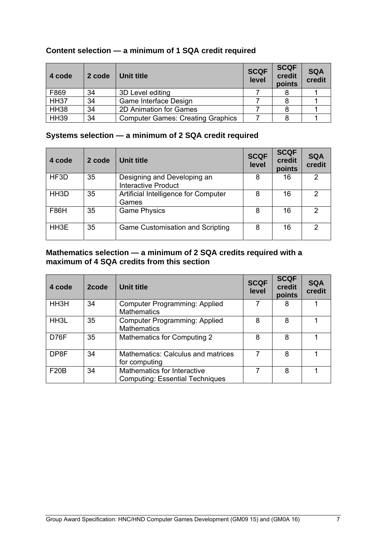| 4 code      | 2 code | Unit title                               | <b>SCQF</b><br>level | <b>SCQF</b><br>credit<br>points | <b>SQA</b><br>credit |
|-------------|--------|------------------------------------------|----------------------|---------------------------------|----------------------|
| F869        | 34     | 3D Level editing                         |                      |                                 |                      |
| <b>HH37</b> | 34     | Game Interface Design                    |                      |                                 |                      |
| <b>HH38</b> | 34     | 2D Animation for Games                   |                      |                                 |                      |
| <b>HH39</b> | 34     | <b>Computer Games: Creating Graphics</b> |                      |                                 |                      |

## **Content selection — a minimum of 1 SQA credit required**

### **Systems selection — a minimum of 2 SQA credit required**

| 4 code            | 2 code | Unit title                                         | <b>SCQF</b><br>level | <b>SCQF</b><br>credit<br>points | <b>SQA</b><br>credit |
|-------------------|--------|----------------------------------------------------|----------------------|---------------------------------|----------------------|
| HF3D              | 35     | Designing and Developing an<br>Interactive Product | 8                    | 16                              | $\mathcal{P}$        |
| HH <sub>3</sub> D | 35     | Artificial Intelligence for Computer<br>Games      | 8                    | 16                              | 2                    |
| <b>F86H</b>       | 35     | <b>Game Physics</b>                                | 8                    | 16                              | 2                    |
| HH3E              | 35     | Game Customisation and Scripting                   | 8                    | 16                              | 2                    |

#### **Mathematics selection — a minimum of 2 SQA credits required with a maximum of 4 SQA credits from this section**

| 4 code            | 2code | Unit title                                                            | <b>SCQF</b><br>level | <b>SCQF</b><br>credit<br>points | <b>SQA</b><br>credit |
|-------------------|-------|-----------------------------------------------------------------------|----------------------|---------------------------------|----------------------|
| HH3H              | 34    | Computer Programming: Applied<br><b>Mathematics</b>                   |                      |                                 |                      |
| HH <sub>3</sub> L | 35    | <b>Computer Programming: Applied</b><br><b>Mathematics</b>            | 8                    | 8                               |                      |
| D76F              | 35    | Mathematics for Computing 2                                           | 8                    | 8                               |                      |
| DP8F              | 34    | Mathematics: Calculus and matrices<br>for computing                   |                      | 8                               |                      |
| F20B              | 34    | Mathematics for Interactive<br><b>Computing: Essential Techniques</b> | 7                    | 8                               |                      |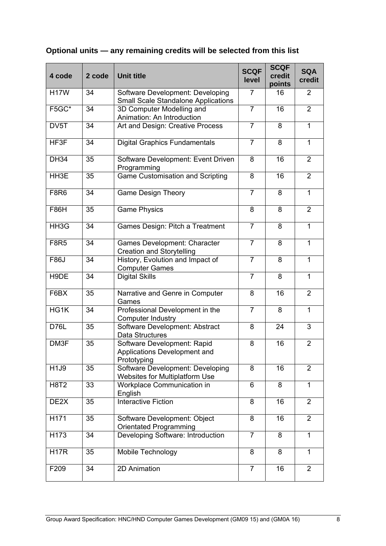| 4 code            | 2 code | <b>Unit title</b>                                                              | <b>SCQF</b><br>level | <b>SCQF</b><br>credit<br>points | <b>SQA</b><br>credit |
|-------------------|--------|--------------------------------------------------------------------------------|----------------------|---------------------------------|----------------------|
| <b>H17W</b>       | 34     | Software Development: Developing<br><b>Small Scale Standalone Applications</b> | 7                    | 16                              | 2                    |
| F5GC*             | 34     | 3D Computer Modelling and<br>Animation: An Introduction                        | $\overline{7}$       | 16                              | 2                    |
| DV5T              | 34     | Art and Design: Creative Process                                               | $\overline{7}$       | 8                               | 1                    |
| HF3F              | 34     | <b>Digital Graphics Fundamentals</b>                                           | $\overline{7}$       | 8                               | $\mathbf{1}$         |
| <b>DH34</b>       | 35     | Software Development: Event Driven<br>Programming                              | 8                    | 16                              | $\overline{2}$       |
| HH3E              | 35     | <b>Game Customisation and Scripting</b>                                        | 8                    | 16                              | $\overline{2}$       |
| <b>F8R6</b>       | 34     | <b>Game Design Theory</b>                                                      | $\overline{7}$       | 8                               | $\mathbf{1}$         |
| <b>F86H</b>       | 35     | <b>Game Physics</b>                                                            | 8                    | 8                               | $\overline{2}$       |
| HH3G              | 34     | Games Design: Pitch a Treatment                                                | $\overline{7}$       | 8                               | $\mathbf{1}$         |
| <b>F8R5</b>       | 34     | Games Development: Character<br><b>Creation and Storytelling</b>               | $\overline{7}$       | 8                               | 1                    |
| <b>F86J</b>       | 34     | History, Evolution and Impact of<br><b>Computer Games</b>                      | $\overline{7}$       | 8                               | $\mathbf{1}$         |
| H9DE              | 34     | <b>Digital Skills</b>                                                          | $\overline{7}$       | 8                               | $\mathbf{1}$         |
| F6BX              | 35     | Narrative and Genre in Computer<br>Games                                       | 8                    | 16                              | $\overline{2}$       |
| HG1K              | 34     | Professional Development in the<br><b>Computer Industry</b>                    | $\overline{7}$       | 8                               | $\mathbf{1}$         |
| <b>D76L</b>       | 35     | Software Development: Abstract<br>Data Structures                              | 8                    | 24                              | 3                    |
| DM3F              | 35     | Software Development: Rapid<br>Applications Development and<br>Prototyping     | 8                    | 16                              | $\overline{2}$       |
| H1J9              | 35     | Software Development: Developing<br>Websites for Multiplatform Use             | 8                    | 16                              | 2                    |
| <b>H8T2</b>       | 33     | Workplace Communication in<br>English                                          | 6                    | 8                               | 1                    |
| DE <sub>2</sub> X | 35     | <b>Interactive Fiction</b>                                                     | 8                    | 16                              | $\overline{2}$       |
| H171              | 35     | Software Development: Object<br>Orientated Programming                         | 8                    | 16                              | $\overline{2}$       |
| H173              | 34     | Developing Software: Introduction                                              | $\overline{7}$       | 8                               | $\overline{1}$       |
| <b>H17R</b>       | 35     | Mobile Technology                                                              | 8                    | 8                               | 1                    |
| F209              | 34     | 2D Animation                                                                   | $\overline{7}$       | 16                              | 2                    |

# **Optional units — any remaining credits will be selected from this list**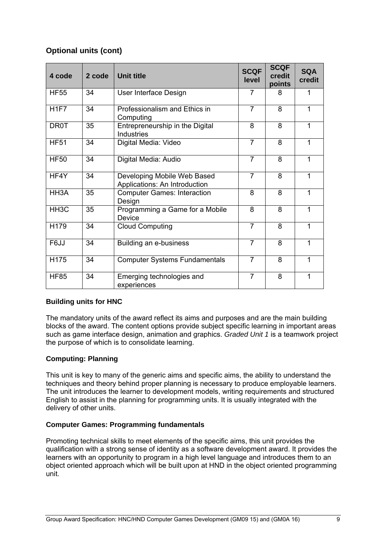### **Optional units (cont)**

| 4 code            | 2 code | <b>Unit title</b>                                            | <b>SCQF</b><br>level | <b>SCQF</b><br>credit<br>points | <b>SQA</b><br>credit |
|-------------------|--------|--------------------------------------------------------------|----------------------|---------------------------------|----------------------|
| <b>HF55</b>       | 34     | User Interface Design                                        | 7                    | 8                               | 1                    |
| H <sub>1F7</sub>  | 34     | Professionalism and Ethics in<br>Computing                   | $\overline{7}$       | 8                               | 1                    |
| <b>DR0T</b>       | 35     | Entrepreneurship in the Digital<br><b>Industries</b>         | 8                    | 8                               | 1                    |
| <b>HF51</b>       | 34     | Digital Media: Video                                         | $\overline{7}$       | 8                               | 1                    |
| <b>HF50</b>       | 34     | Digital Media: Audio                                         | $\overline{7}$       | 8                               | 1                    |
| HF4Y              | 34     | Developing Mobile Web Based<br>Applications: An Introduction | $\overline{7}$       | 8                               | 1                    |
| HH3A              | 35     | <b>Computer Games: Interaction</b><br>Design                 | 8                    | 8                               | 1                    |
| HH <sub>3</sub> C | 35     | Programming a Game for a Mobile<br>Device                    | 8                    | 8                               | 1                    |
| H179              | 34     | <b>Cloud Computing</b>                                       | $\overline{7}$       | 8                               | 1                    |
| F6JJ              | 34     | Building an e-business                                       | $\overline{7}$       | 8                               | 1                    |
| H175              | 34     | <b>Computer Systems Fundamentals</b>                         | $\overline{7}$       | 8                               | 1                    |
| <b>HF85</b>       | 34     | Emerging technologies and<br>experiences                     | $\overline{7}$       | 8                               | 1                    |

#### **Building units for HNC**

The mandatory units of the award reflect its aims and purposes and are the main building blocks of the award. The content options provide subject specific learning in important areas such as game interface design, animation and graphics. *Graded Unit 1* is a teamwork project the purpose of which is to consolidate learning.

#### **Computing: Planning**

This unit is key to many of the generic aims and specific aims, the ability to understand the techniques and theory behind proper planning is necessary to produce employable learners. The unit introduces the learner to development models, writing requirements and structured English to assist in the planning for programming units. It is usually integrated with the delivery of other units.

#### **Computer Games: Programming fundamentals**

Promoting technical skills to meet elements of the specific aims, this unit provides the qualification with a strong sense of identity as a software development award. It provides the learners with an opportunity to program in a high level language and introduces them to an object oriented approach which will be built upon at HND in the object oriented programming unit.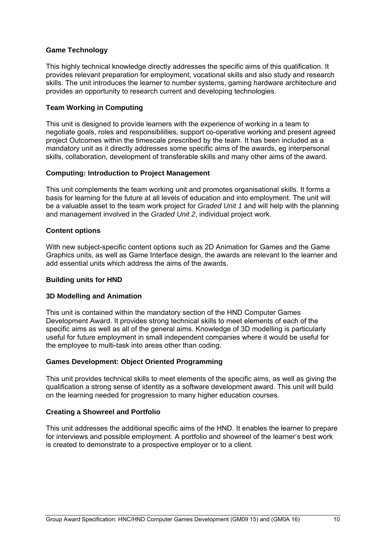#### **Game Technology**

This highly technical knowledge directly addresses the specific aims of this qualification. It provides relevant preparation for employment, vocational skills and also study and research skills. The unit introduces the learner to number systems, gaming hardware architecture and provides an opportunity to research current and developing technologies.

#### **Team Working in Computing**

This unit is designed to provide learners with the experience of working in a team to negotiate goals, roles and responsibilities, support co-operative working and present agreed project Outcomes within the timescale prescribed by the team. It has been included as a mandatory unit as it directly addresses some specific aims of the awards, eg interpersonal skills, collaboration, development of transferable skills and many other aims of the award.

#### **Computing: Introduction to Project Management**

This unit complements the team working unit and promotes organisational skills. It forms a basis for learning for the future at all levels of education and into employment. The unit will be a valuable asset to the team work project for *Graded Unit 1* and will help with the planning and management involved in the *Graded Unit 2*, individual project work.

#### **Content options**

With new subject-specific content options such as 2D Animation for Games and the Game Graphics units, as well as Game Interface design, the awards are relevant to the learner and add essential units which address the aims of the awards.

#### **Building units for HND**

#### **3D Modelling and Animation**

This unit is contained within the mandatory section of the HND Computer Games Development Award. It provides strong technical skills to meet elements of each of the specific aims as well as all of the general aims. Knowledge of 3D modelling is particularly useful for future employment in small independent companies where it would be useful for the employee to multi-task into areas other than coding.

#### **Games Development: Object Oriented Programming**

This unit provides technical skills to meet elements of the specific aims, as well as giving the qualification a strong sense of identity as a software development award. This unit will build on the learning needed for progression to many higher education courses.

#### **Creating a Showreel and Portfolio**

This unit addresses the additional specific aims of the HND. It enables the learner to prepare for interviews and possible employment. A portfolio and showreel of the learner's best work is created to demonstrate to a prospective employer or to a client.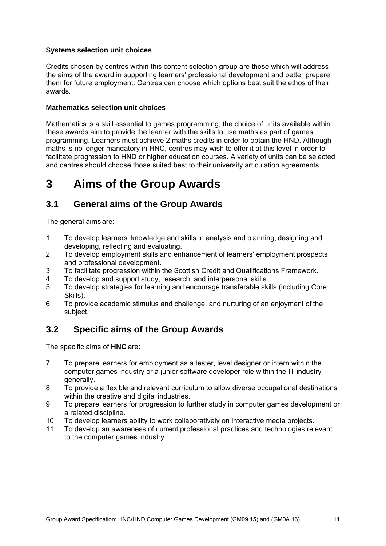#### **Systems selection unit choices**

Credits chosen by centres within this content selection group are those which will address the aims of the award in supporting learners' professional development and better prepare them for future employment. Centres can choose which options best suit the ethos of their awards.

#### **Mathematics selection unit choices**

Mathematics is a skill essential to games programming; the choice of units available within these awards aim to provide the learner with the skills to use maths as part of games programming. Learners must achieve 2 maths credits in order to obtain the HND. Although maths is no longer mandatory in HNC, centres may wish to offer it at this level in order to facilitate progression to HND or higher education courses. A variety of units can be selected and centres should choose those suited best to their university articulation agreements

# **3 Aims of the Group Awards**

### **3.1 General aims of the Group Awards**

The general aims are:

- 1 To develop learners' knowledge and skills in analysis and planning, designing and developing, reflecting and evaluating.
- 2 To develop employment skills and enhancement of learners' employment prospects and professional development.
- 3 To facilitate progression within the Scottish Credit and Qualifications Framework.
- 4 To develop and support study, research, and interpersonal skills.
- 5 To develop strategies for learning and encourage transferable skills (including Core Skills).
- 6 To provide academic stimulus and challenge, and nurturing of an enjoyment of the subject.

## **3.2 Specific aims of the Group Awards**

The specific aims of **HNC** are:

- 7 To prepare learners for employment as a tester, level designer or intern within the computer games industry or a junior software developer role within the IT industry generally.
- 8 To provide a flexible and relevant curriculum to allow diverse occupational destinations within the creative and digital industries.
- 9 To prepare learners for progression to further study in computer games development or a related discipline.
- 10 To develop learners ability to work collaboratively on interactive media projects.
- 11 To develop an awareness of current professional practices and technologies relevant to the computer games industry.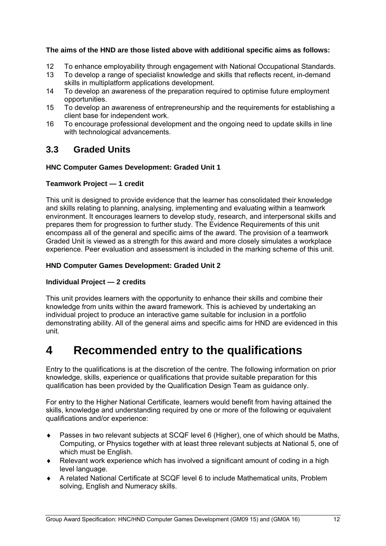#### **The aims of the HND are those listed above with additional specific aims as follows:**

- 12 To enhance employability through engagement with National Occupational Standards.
- 13 To develop a range of specialist knowledge and skills that reflects recent, in-demand skills in multiplatform applications development.
- 14 To develop an awareness of the preparation required to optimise future employment opportunities.
- 15 To develop an awareness of entrepreneurship and the requirements for establishing a client base for independent work.
- 16 To encourage professional development and the ongoing need to update skills in line with technological advancements.

### **3.3 Graded Units**

#### **HNC Computer Games Development: Graded Unit 1**

#### **Teamwork Project — 1 credit**

This unit is designed to provide evidence that the learner has consolidated their knowledge and skills relating to planning, analysing, implementing and evaluating within a teamwork environment. It encourages learners to develop study, research, and interpersonal skills and prepares them for progression to further study. The Evidence Requirements of this unit encompass all of the general and specific aims of the award. The provision of a teamwork Graded Unit is viewed as a strength for this award and more closely simulates a workplace experience. Peer evaluation and assessment is included in the marking scheme of this unit.

#### **HND Computer Games Development: Graded Unit 2**

#### **Individual Project — 2 credits**

This unit provides learners with the opportunity to enhance their skills and combine their knowledge from units within the award framework. This is achieved by undertaking an individual project to produce an interactive game suitable for inclusion in a portfolio demonstrating ability. All of the general aims and specific aims for HND are evidenced in this unit.

# **4 Recommended entry to the qualifications**

Entry to the qualifications is at the discretion of the centre. The following information on prior knowledge, skills, experience or qualifications that provide suitable preparation for this qualification has been provided by the Qualification Design Team as guidance only.

For entry to the Higher National Certificate, learners would benefit from having attained the skills, knowledge and understanding required by one or more of the following or equivalent qualifications and/or experience:

- Passes in two relevant subjects at SCQF level 6 (Higher), one of which should be Maths, Computing, or Physics together with at least three relevant subjects at National 5, one of which must be English.
- Relevant work experience which has involved a significant amount of coding in a high level language.
- A related National Certificate at SCQF level 6 to include Mathematical units, Problem solving, English and Numeracy skills.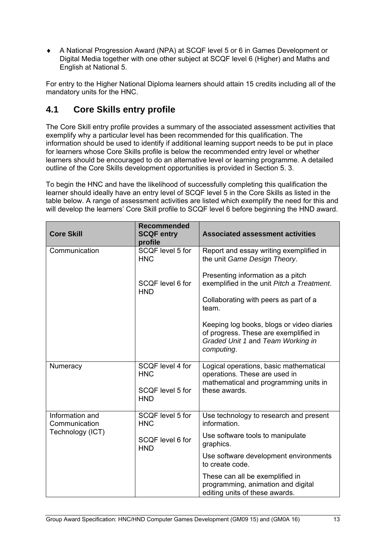A National Progression Award (NPA) at SCQF level 5 or 6 in Games Development or Digital Media together with one other subject at SCQF level 6 (Higher) and Maths and English at National 5.

For entry to the Higher National Diploma learners should attain 15 credits including all of the mandatory units for the HNC.

# **4.1 Core Skills entry profile**

The Core Skill entry profile provides a summary of the associated assessment activities that exemplify why a particular level has been recommended for this qualification. The information should be used to identify if additional learning support needs to be put in place for learners whose Core Skills profile is below the recommended entry level or whether learners should be encouraged to do an alternative level or learning programme. A detailed outline of the Core Skills development opportunities is provided in Section 5. 3.

To begin the HNC and have the likelihood of successfully completing this qualification the learner should ideally have an entry level of SCQF level 5 in the Core Skills as listed in the table below. A range of assessment activities are listed which exemplify the need for this and will develop the learners' Core Skill profile to SCQF level 6 before beginning the HND award.

| <b>Core Skill</b>                | <b>Recommended</b><br><b>SCQF entry</b><br>profile | <b>Associated assessment activities</b>                                                                                               |
|----------------------------------|----------------------------------------------------|---------------------------------------------------------------------------------------------------------------------------------------|
| Communication                    | SCQF level 5 for<br><b>HNC</b>                     | Report and essay writing exemplified in<br>the unit Game Design Theory.                                                               |
|                                  | SCQF level 6 for<br><b>HND</b>                     | Presenting information as a pitch<br>exemplified in the unit Pitch a Treatment.                                                       |
|                                  |                                                    | Collaborating with peers as part of a<br>team.                                                                                        |
|                                  |                                                    | Keeping log books, blogs or video diaries<br>of progress. These are exemplified in<br>Graded Unit 1 and Team Working in<br>computing. |
| Numeracy                         | SCQF level 4 for<br><b>HNC</b>                     | Logical operations, basic mathematical<br>operations. These are used in<br>mathematical and programming units in                      |
|                                  | SCQF level 5 for<br><b>HND</b>                     | these awards.                                                                                                                         |
| Information and<br>Communication | SCQF level 5 for<br><b>HNC</b>                     | Use technology to research and present<br>information.                                                                                |
| Technology (ICT)                 | SCQF level 6 for<br><b>HND</b>                     | Use software tools to manipulate<br>graphics.                                                                                         |
|                                  |                                                    | Use software development environments<br>to create code.                                                                              |
|                                  |                                                    | These can all be exemplified in<br>programming, animation and digital<br>editing units of these awards.                               |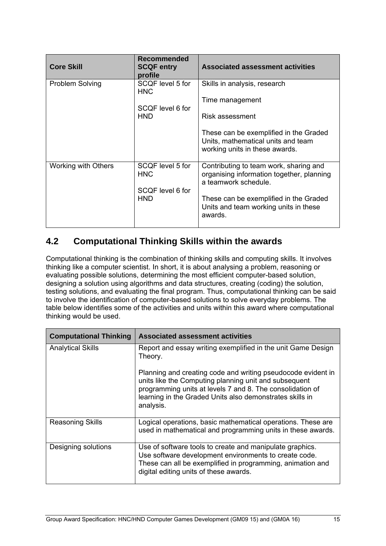| <b>Core Skill</b>      | Recommended<br><b>SCQF entry</b><br>profile               | <b>Associated assessment activities</b>                                                                                                                                                                   |
|------------------------|-----------------------------------------------------------|-----------------------------------------------------------------------------------------------------------------------------------------------------------------------------------------------------------|
| <b>Problem Solving</b> | SCQF level 5 for<br><b>HNC</b><br>SCQF level 6 for<br>HND | Skills in analysis, research<br>Time management<br>Risk assessment<br>These can be exemplified in the Graded<br>Units, mathematical units and team<br>working units in these awards.                      |
| Working with Others    | SCQF level 5 for<br><b>HNC</b><br>SCQF level 6 for<br>HND | Contributing to team work, sharing and<br>organising information together, planning<br>a teamwork schedule.<br>These can be exemplified in the Graded<br>Units and team working units in these<br>awards. |

# **4.2 Computational Thinking Skills within the awards**

Computational thinking is the combination of thinking skills and computing skills. It involves thinking like a computer scientist. In short, it is about analysing a problem, reasoning or evaluating possible solutions, determining the most efficient computer-based solution, designing a solution using algorithms and data structures, creating (coding) the solution, testing solutions, and evaluating the final program. Thus, computational thinking can be said to involve the identification of computer-based solutions to solve everyday problems. The table below identifies some of the activities and units within this award where computational thinking would be used.

| <b>Computational Thinking</b> | <b>Associated assessment activities</b>                                                                                                                                                                                                                     |
|-------------------------------|-------------------------------------------------------------------------------------------------------------------------------------------------------------------------------------------------------------------------------------------------------------|
| <b>Analytical Skills</b>      | Report and essay writing exemplified in the unit Game Design<br>Theory.                                                                                                                                                                                     |
|                               | Planning and creating code and writing pseudocode evident in<br>units like the Computing planning unit and subsequent<br>programming units at levels 7 and 8. The consolidation of<br>learning in the Graded Units also demonstrates skills in<br>analysis. |
| <b>Reasoning Skills</b>       | Logical operations, basic mathematical operations. These are<br>used in mathematical and programming units in these awards.                                                                                                                                 |
| Designing solutions           | Use of software tools to create and manipulate graphics.<br>Use software development environments to create code.<br>These can all be exemplified in programming, animation and<br>digital editing units of these awards.                                   |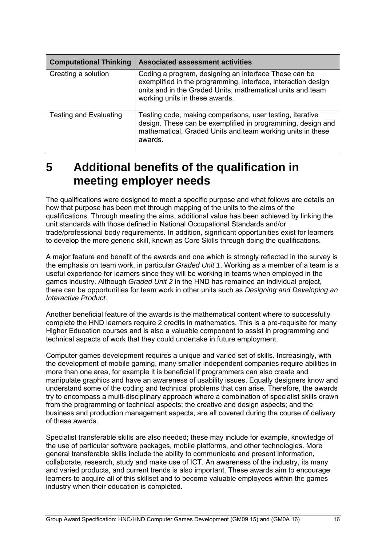| <b>Computational Thinking</b> | <b>Associated assessment activities</b>                                                                                                                                                                                |
|-------------------------------|------------------------------------------------------------------------------------------------------------------------------------------------------------------------------------------------------------------------|
| Creating a solution           | Coding a program, designing an interface These can be<br>exemplified in the programming, interface, interaction design<br>units and in the Graded Units, mathematical units and team<br>working units in these awards. |
| <b>Testing and Evaluating</b> | Testing code, making comparisons, user testing, iterative<br>design. These can be exemplified in programming, design and<br>mathematical, Graded Units and team working units in these<br>awards.                      |

# **5 Additional benefits of the qualification in meeting employer needs**

The qualifications were designed to meet a specific purpose and what follows are details on how that purpose has been met through mapping of the units to the aims of the qualifications. Through meeting the aims, additional value has been achieved by linking the unit standards with those defined in National Occupational Standards and/or trade/professional body requirements. In addition, significant opportunities exist for learners to develop the more generic skill, known as Core Skills through doing the qualifications.

A major feature and benefit of the awards and one which is strongly reflected in the survey is the emphasis on team work, in particular *Graded Unit 1*. Working as a member of a team is a useful experience for learners since they will be working in teams when employed in the games industry. Although *Graded Unit 2* in the HND has remained an individual project, there can be opportunities for team work in other units such as *Designing and Developing an Interactive Product*.

Another beneficial feature of the awards is the mathematical content where to successfully complete the HND learners require 2 credits in mathematics. This is a pre-requisite for many Higher Education courses and is also a valuable component to assist in programming and technical aspects of work that they could undertake in future employment.

Computer games development requires a unique and varied set of skills. Increasingly, with the development of mobile gaming, many smaller independent companies require abilities in more than one area, for example it is beneficial if programmers can also create and manipulate graphics and have an awareness of usability issues. Equally designers know and understand some of the coding and technical problems that can arise. Therefore, the awards try to encompass a multi-disciplinary approach where a combination of specialist skills drawn from the programming or technical aspects; the creative and design aspects; and the business and production management aspects, are all covered during the course of delivery of these awards.

Specialist transferable skills are also needed; these may include for example, knowledge of the use of particular software packages, mobile platforms, and other technologies. More general transferable skills include the ability to communicate and present information, collaborate, research, study and make use of ICT. An awareness of the industry, its many and varied products, and current trends is also important. These awards aim to encourage learners to acquire all of this skillset and to become valuable employees within the games industry when their education is completed.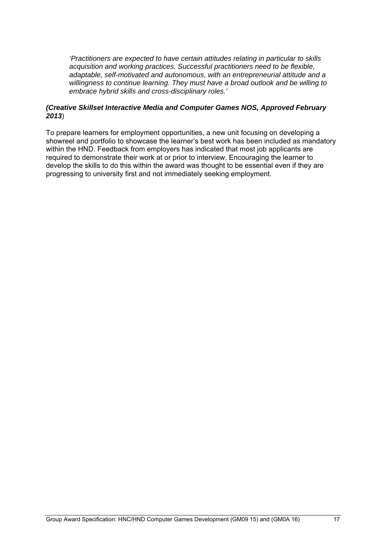*'Practitioners are expected to have certain attitudes relating in particular to skills acquisition and working practices. Successful practitioners need to be flexible, adaptable, self-motivated and autonomous, with an entrepreneurial attitude and a willingness to continue learning. They must have a broad outlook and be willing to embrace hybrid skills and cross-disciplinary roles.'* 

#### *(Creative Skillset Interactive Media and Computer Games NOS, Approved February 2013*)

To prepare learners for employment opportunities, a new unit focusing on developing a showreel and portfolio to showcase the learner's best work has been included as mandatory within the HND. Feedback from employers has indicated that most job applicants are required to demonstrate their work at or prior to interview. Encouraging the learner to develop the skills to do this within the award was thought to be essential even if they are progressing to university first and not immediately seeking employment.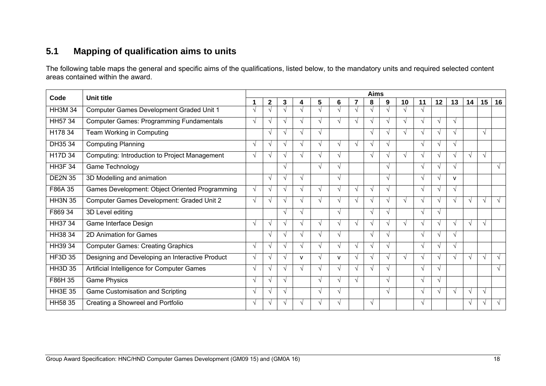# **5.1 Mapping of qualification aims to units**

The following table maps the general and specific aims of the qualifications, listed below, to the mandatory units and required selected content areas contained within the award.

| Code           | <b>Unit title</b>                               | <b>Aims</b>   |               |               |                   |                   |              |               |               |                        |            |            |                   |              |               |            |               |
|----------------|-------------------------------------------------|---------------|---------------|---------------|-------------------|-------------------|--------------|---------------|---------------|------------------------|------------|------------|-------------------|--------------|---------------|------------|---------------|
|                |                                                 | 1             | $\mathbf{2}$  | 3             | 4                 | 5                 | 6            | 7             | 8             | 9                      | 10         | 11         | 12                | 13           | 14            | 15         | 16            |
| <b>HH3M 34</b> | Computer Games Development Graded Unit 1        |               |               |               |                   |                   |              | $\mathcal{N}$ | $\mathcal{N}$ |                        | $\sqrt{ }$ | $\sqrt{ }$ |                   |              |               |            |               |
| HH57 34        | <b>Computer Games: Programming Fundamentals</b> | V             | $\sqrt{ }$    |               | $\mathbf{\hat{}}$ |                   | V            | $\sqrt{ }$    | $\mathcal{N}$ |                        | $\sqrt{ }$ | $\sqrt{ }$ | $\mathbf \Lambda$ | $\sqrt{ }$   |               |            |               |
| H178 34        | Team Working in Computing                       |               | $\sqrt{ }$    | V             | $\mathbf \Lambda$ | $\mathbf{v}$      |              |               | $\sqrt{ }$    |                        | $\sqrt{ }$ | $\sqrt{ }$ | N                 | $\sqrt{ }$   |               | $\sqrt{ }$ |               |
| DH35 34        | <b>Computing Planning</b>                       | $\sqrt{ }$    | $\sqrt{ }$    |               | $\Delta$          | $\mathbf \Lambda$ | $\mathcal N$ | $\sqrt{ }$    | $\sqrt{ }$    | $\boldsymbol{\Lambda}$ |            | $\sqrt{ }$ | $\mathbf \lambda$ | $\sqrt{ }$   |               |            |               |
| H17D 34        | Computing: Introduction to Project Management   | $\mathcal{N}$ | $\mathcal{N}$ | V             | V                 | $\mathbf{v}$      | V            |               | $\sqrt{ }$    | $\boldsymbol{\Lambda}$ | $\sqrt{ }$ | $\sqrt{ }$ | $\sim$            | V            | $\mathcal{N}$ | $\sqrt{ }$ |               |
| <b>HH3F 34</b> | Game Technology                                 |               |               | √             |                   | $\mathbf{v}$      | $\sqrt{ }$   |               |               | $\sqrt{ }$             |            | $\sqrt{ }$ | N                 | $\sqrt{ }$   |               |            | $\sqrt{ }$    |
| <b>DE2N 35</b> | 3D Modelling and animation                      |               | $\sqrt{ }$    | $\mathbf{v}$  | $\sqrt{ }$        |                   | $\sqrt{ }$   |               |               | $\sqrt{ }$             |            | $\sqrt{ }$ | ٦                 | $\mathsf{v}$ |               |            |               |
| F86A 35        | Games Development: Object Oriented Programming  | $\sqrt{ }$    | $\sqrt{ }$    | V             | $\sqrt{ }$        | $\sqrt{ }$        | $\sqrt{ }$   | $\sqrt{ }$    | V             | $\sqrt{ }$             |            | $\sqrt{ }$ | N                 | $\sqrt{ }$   |               |            |               |
| <b>HH3N 35</b> | Computer Games Development: Graded Unit 2       | $\sqrt{ }$    | $\sqrt{ }$    | V             | $\sqrt{ }$        | $\sqrt{ }$        | $\sqrt{ }$   | $\sqrt{ }$    | $\sqrt{ }$    |                        | $\sqrt{ }$ | $\sqrt{ }$ | V                 | $\sqrt{ }$   | $\sqrt{ }$    | $\sqrt{ }$ | $\sqrt{ }$    |
| F869 34        | 3D Level editing                                |               |               | N             | $\sqrt{ }$        |                   | $\sqrt{ }$   |               | $\sqrt{ }$    | $\sim$                 |            | $\sqrt{ }$ | $\sqrt{ }$        |              |               |            |               |
| HH37 34        | Game Interface Design                           | $\mathcal{N}$ | $\sqrt{ }$    |               | $\sqrt{ }$        | V                 | V            | $\sqrt{ }$    | $\sqrt{ }$    |                        | $\sqrt{ }$ | $\sqrt{ }$ | N                 | $\sqrt{ }$   | V             | $\sqrt{ }$ |               |
| HH38 34        | 2D Animation for Games                          |               | $\sqrt{ }$    |               | $\mathcal{N}$     |                   | $\sqrt{ }$   |               | $\sqrt{ }$    |                        |            | $\sqrt{ }$ | $\mathbf \Lambda$ | V            |               |            |               |
| HH39 34        | <b>Computer Games: Creating Graphics</b>        | $\sqrt{ }$    | $\sqrt{ }$    | V             | $\sqrt{ }$        | $\mathbf{v}$      | V            | $\sqrt{ }$    | V             | $\lambda$              |            | $\sqrt{ }$ | N                 | $\sqrt{ }$   |               |            |               |
| <b>HF3D 35</b> | Designing and Developing an Interactive Product | V             | $\sqrt{ }$    | V             | $\mathsf{V}$      | $\sqrt{ }$        | $\mathsf{v}$ | $\sqrt{ }$    | V             | $\lambda$              | $\sqrt{ }$ | $\sqrt{ }$ | $\sqrt{ }$        | $\sqrt{ }$   | $\sqrt{ }$    | $\sqrt{ }$ | $\sqrt{ }$    |
| <b>HH3D 35</b> | Artificial Intelligence for Computer Games      | $\sqrt{ }$    | $\mathcal{N}$ |               | $\mathbf \Lambda$ |                   | V            | $\sqrt{ }$    |               |                        |            | $\sqrt{ }$ | N                 |              |               |            | $\sqrt{ }$    |
| F86H 35        | <b>Game Physics</b>                             | $\mathcal{N}$ | $\mathcal{N}$ | $\mathcal{N}$ |                   | $\mathcal{N}$     | V            | $\mathcal{N}$ |               | $\lambda$              |            | $\sqrt{ }$ | N                 |              |               |            |               |
| <b>HH3E 35</b> | <b>Game Customisation and Scripting</b>         | V             | $\mathcal{N}$ | V             |                   | $\mathbf{v}$      | $\sqrt{ }$   |               |               | $\sqrt{ }$             |            | $\sqrt{ }$ | N                 | $\sqrt{ }$   | $\sqrt{ }$    | $\sqrt{ }$ |               |
| HH58 35        | Creating a Showreel and Portfolio               | V             |               |               |                   |                   | V            |               | $\sqrt{ }$    |                        |            | $\sqrt{ }$ |                   |              | $\sqrt{ }$    | $\sqrt{ }$ | $\mathcal{N}$ |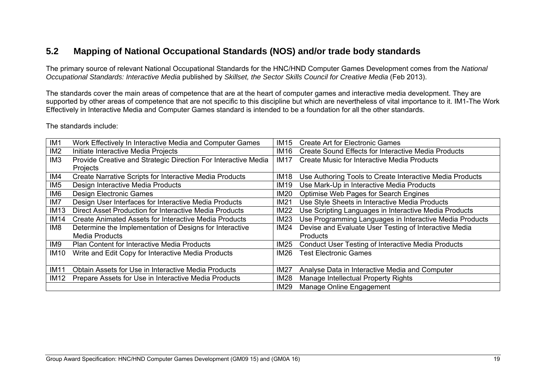# **5.2 Mapping of National Occupational Standards (NOS) and/or trade body standards**

The primary source of relevant National Occupational Standards for the HNC/HND Computer Games Development comes from the *National Occupational Standards: Interactive Media* published by *Skillset, the Sector Skills Council for Creative Media* (Feb 2013).

The standards cover the main areas of competence that are at the heart of computer games and interactive media development. They are supported by other areas of competence that are not specific to this discipline but which are nevertheless of vital importance to it. IM1-The Work Effectively in Interactive Media and Computer Games standard is intended to be a foundation for all the other standards.

The standards include:

| IM <sub>1</sub> | Work Effectively In Interactive Media and Computer Games       | IM15        | <b>Create Art for Electronic Games</b>                    |
|-----------------|----------------------------------------------------------------|-------------|-----------------------------------------------------------|
| IM <sub>2</sub> | Initiate Interactive Media Projects                            | IM16        | Create Sound Effects for Interactive Media Products       |
| IM <sub>3</sub> | Provide Creative and Strategic Direction For Interactive Media | IM17        | <b>Create Music for Interactive Media Products</b>        |
|                 | Projects                                                       |             |                                                           |
| IM4             | <b>Create Narrative Scripts for Interactive Media Products</b> | IM18        | Use Authoring Tools to Create Interactive Media Products  |
| IM <sub>5</sub> | Design Interactive Media Products                              | <b>IM19</b> | Use Mark-Up in Interactive Media Products                 |
| IM6             | <b>Design Electronic Games</b>                                 | IM20        | Optimise Web Pages for Search Engines                     |
| IM7             | Design User Interfaces for Interactive Media Products          | <b>IM21</b> | Use Style Sheets in Interactive Media Products            |
| <b>IM13</b>     | Direct Asset Production for Interactive Media Products         | <b>IM22</b> | Use Scripting Languages in Interactive Media Products     |
| <b>IM14</b>     | <b>Create Animated Assets for Interactive Media Products</b>   | IM23        | Use Programming Languages in Interactive Media Products   |
| IM8             | Determine the Implementation of Designs for Interactive        | <b>IM24</b> | Devise and Evaluate User Testing of Interactive Media     |
|                 | <b>Media Products</b>                                          |             | <b>Products</b>                                           |
| IM9             | Plan Content for Interactive Media Products                    | IM25        | <b>Conduct User Testing of Interactive Media Products</b> |
| <b>IM10</b>     | Write and Edit Copy for Interactive Media Products             | IM26        | <b>Test Electronic Games</b>                              |
|                 |                                                                |             |                                                           |
| <b>IM11</b>     | Obtain Assets for Use in Interactive Media Products            | <b>IM27</b> | Analyse Data in Interactive Media and Computer            |
| <b>IM12</b>     | Prepare Assets for Use in Interactive Media Products           | <b>IM28</b> | Manage Intellectual Property Rights                       |
|                 |                                                                | <b>IM29</b> | Manage Online Engagement                                  |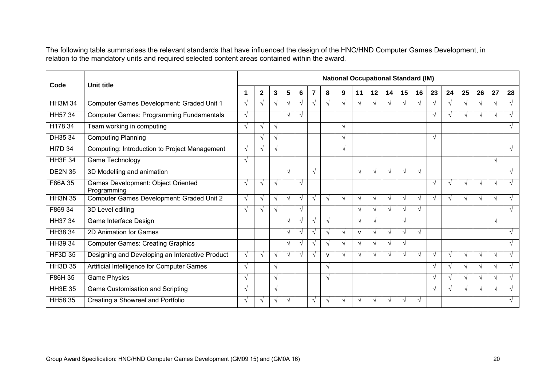The following table summarises the relevant standards that have influenced the design of the HNC/HND Computer Games Development, in relation to the mandatory units and required selected content areas contained within the award.

| Code           | Unit title                                        |            |              |            |            |            |            |               |               |              |                   |            |               | <b>National Occupational Standard (IM)</b> |            |               |            |               |                   |               |  |
|----------------|---------------------------------------------------|------------|--------------|------------|------------|------------|------------|---------------|---------------|--------------|-------------------|------------|---------------|--------------------------------------------|------------|---------------|------------|---------------|-------------------|---------------|--|
|                | 1                                                 |            | $\mathbf{2}$ | 3          | 5          | 6          | 7          | 8             | 9             | 11           | 12                | 14         | 15            | 16                                         | 23         | 24            | 25         | 26            | 27                | 28            |  |
| <b>HH3M 34</b> | Computer Games Development: Graded Unit 1         | $\sqrt{ }$ | $\sqrt{ }$   | $\sqrt{ }$ | $\sqrt{ }$ | √          | $\sqrt{}$  | $\mathcal{N}$ |               | $\sqrt{ }$   | ٦                 | $\sqrt{ }$ | $\sqrt{ }$    | $\lambda$                                  | $\sqrt{ }$ | $\sqrt{ }$    | $\sqrt{ }$ | $\sqrt{ }$    | $\mathbf \Lambda$ | $\sqrt{ }$    |  |
| HH57 34        | <b>Computer Games: Programming Fundamentals</b>   | $\sqrt{ }$ |              |            | $\sqrt{ }$ | $\sqrt{ }$ |            |               |               |              |                   |            |               |                                            | $\sqrt{ }$ | $\sqrt{ }$    | $\sqrt{ }$ | $\mathcal{N}$ | $\lambda$         | $\mathbf{A}$  |  |
| H178 34        | Team working in computing                         | $\sqrt{ }$ | V            | $\sqrt{ }$ |            |            |            |               | $\sqrt{ }$    |              |                   |            |               |                                            |            |               |            |               |                   | V             |  |
| DH35 34        | <b>Computing Planning</b>                         |            | √            | $\sqrt{ }$ |            |            |            |               |               |              |                   |            |               |                                            | $\sqrt{ }$ |               |            |               |                   |               |  |
| <b>HI7D 34</b> | Computing: Introduction to Project Management     | $\sqrt{ }$ | $\sqrt{ }$   | $\sqrt{ }$ |            |            |            |               | $\sqrt{ }$    |              |                   |            |               |                                            |            |               |            |               |                   | $\sqrt{ }$    |  |
| <b>HH3F 34</b> | Game Technology                                   | $\sqrt{ }$ |              |            |            |            |            |               |               |              |                   |            |               |                                            |            |               |            |               | $\sqrt{ }$        |               |  |
| <b>DE2N 35</b> | 3D Modelling and animation                        |            |              |            | $\sqrt{ }$ |            | $\sqrt{ }$ |               |               | $\sqrt{ }$   | $\mathcal{A}$     | $\sqrt{ }$ | $\sqrt{ }$    | V                                          |            |               |            |               |                   | N             |  |
| F86A 35        | Games Development: Object Oriented<br>Programming | $\sqrt{ }$ | $\sqrt{ }$   | $\sqrt{ }$ |            | $\sqrt{ }$ |            |               |               |              |                   |            |               |                                            | $\sqrt{ }$ | $\sqrt{ }$    | $\sqrt{ }$ | $\sqrt{ }$    | $\sqrt{ }$        | N             |  |
| <b>HH3N 35</b> | Computer Games Development: Graded Unit 2         | $\sqrt{ }$ | $\sqrt{ }$   | $\sqrt{ }$ | $\sqrt{ }$ | $\sqrt{ }$ | $\sqrt{ }$ | $\sqrt{ }$    | $\sqrt{ }$    | $\sqrt{ }$   | $\mathcal{N}$     | $\sqrt{ }$ | $\sqrt{ }$    | $\sqrt{ }$                                 | $\sqrt{ }$ | $\sqrt{ }$    | $\sqrt{ }$ | $\sqrt{ }$    | $\sqrt{ }$        | V             |  |
| F869 34        | 3D Level editing                                  | $\sqrt{ }$ | $\sqrt{ }$   | $\sqrt{ }$ |            | $\sqrt{}$  |            |               |               | $\sqrt{ }$   | $\mathcal{N}$     | $\sqrt{ }$ | $\sqrt{ }$    | $\sqrt{ }$                                 |            |               |            |               |                   | $\sqrt{}$     |  |
| HH37 34        | Game Interface Design                             |            |              |            | $\sqrt{ }$ | $\sqrt{ }$ | $\sqrt{}$  | $\sqrt{ }$    |               | $\sqrt{ }$   | N                 |            | $\sqrt{ }$    |                                            |            |               |            |               | $\sqrt{ }$        |               |  |
| <b>HH3834</b>  | 2D Animation for Games                            |            |              |            | $\sqrt{ }$ | √          | $\sqrt{}$  | $\sqrt{ }$    | $\sqrt{ }$    | $\mathsf{V}$ | ٦                 | $\sqrt{ }$ | $\sqrt{ }$    | $\sqrt{ }$                                 |            |               |            |               |                   | $\mathcal{N}$ |  |
| HH39 34        | <b>Computer Games: Creating Graphics</b>          |            |              |            | $\sqrt{ }$ | $\sqrt{ }$ | $\sqrt{}$  | $\sqrt{ }$    | $\mathcal{N}$ | $\sqrt{ }$   | $\mathcal{N}$     | $\sqrt{ }$ | $\sqrt{ }$    |                                            |            |               |            |               |                   | $\mathcal{N}$ |  |
| <b>HF3D 35</b> | Designing and Developing an Interactive Product   | $\sqrt{ }$ | $\sqrt{ }$   | $\sqrt{ }$ | $\sqrt{ }$ | $\sqrt{ }$ | $\sqrt{ }$ | $\mathsf{V}$  | $\sqrt{ }$    | $\sqrt{ }$   | $\mathbf \Lambda$ | $\sqrt{ }$ | $\sqrt{ }$    | $\mathbf{\hat{}}$                          | $\sqrt{ }$ | $\sqrt{ }$    | $\sqrt{ }$ | $\sqrt{ }$    | $\sqrt{ }$        | $\sqrt{ }$    |  |
| <b>HH3D 35</b> | Artificial Intelligence for Computer Games        | $\sqrt{ }$ |              | $\sqrt{ }$ |            |            |            | $\sqrt{ }$    |               |              |                   |            |               |                                            | $\sqrt{ }$ | $\mathcal{N}$ | $\sqrt{ }$ | $\mathcal{N}$ | $\mathbf \Lambda$ | N             |  |
| F86H 35        | <b>Game Physics</b>                               |            |              | $\sqrt{ }$ |            |            |            | $\sqrt{ }$    |               |              |                   |            |               |                                            | $\sqrt{ }$ | $\sqrt{ }$    | $\sqrt{ }$ |               | $\sqrt{ }$        |               |  |
| <b>HH3E 35</b> | Game Customisation and Scripting                  |            |              | $\sqrt{ }$ |            |            |            |               |               |              |                   |            |               |                                            | $\sqrt{ }$ | V             | $\sqrt{ }$ |               | $\mathcal{N}$     |               |  |
| HH58 35        | Creating a Showreel and Portfolio                 |            | V            | $\sqrt{ }$ | $\sqrt{}$  |            | V          |               |               |              |                   | $\sqrt{ }$ | $\mathcal{N}$ | $\sqrt{ }$                                 |            |               |            |               |                   |               |  |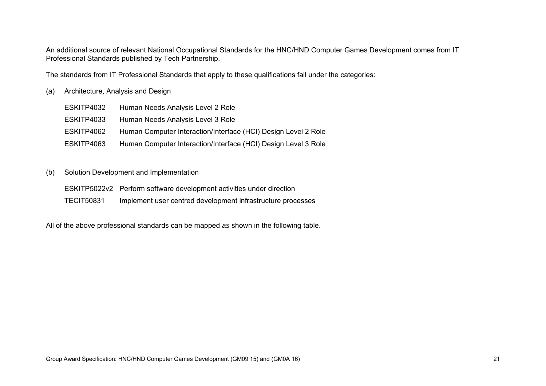An additional source of relevant National Occupational Standards for the HNC/HND Computer Games Development comes from IT Professional Standards published by Tech Partnership.

The standards from IT Professional Standards that apply to these qualifications fall under the categories:

#### (a) Architecture, Analysis and Design

| Human Needs Analysis Level 2 Role                              |
|----------------------------------------------------------------|
| Human Needs Analysis Level 3 Role                              |
| Human Computer Interaction/Interface (HCI) Design Level 2 Role |
| Human Computer Interaction/Interface (HCI) Design Level 3 Role |
|                                                                |

#### (b) Solution Development and Implementation

- ESKITP5022v2 Perform software development activities under direction
- TECIT50831 Implement user centred development infrastructure processes

All of the above professional standards can be mapped *as* shown in the following table.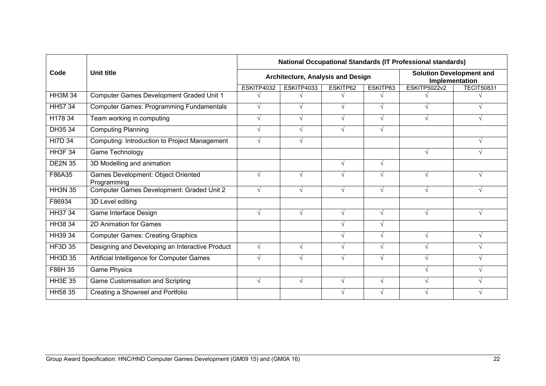|                |                                                   | <b>National Occupational Standards (IT Professional standards)</b> |                                          |          |              |                                                   |                   |  |  |  |  |  |  |
|----------------|---------------------------------------------------|--------------------------------------------------------------------|------------------------------------------|----------|--------------|---------------------------------------------------|-------------------|--|--|--|--|--|--|
| Code           | Unit title                                        |                                                                    | <b>Architecture, Analysis and Design</b> |          |              | <b>Solution Development and</b><br>Implementation |                   |  |  |  |  |  |  |
|                |                                                   | ESKITP4032                                                         | ESKITP4033                               | ESKITP62 | ESKITP63     | <b>ESKITP5022v2</b>                               | <b>TECIT50831</b> |  |  |  |  |  |  |
| <b>HH3M 34</b> | Computer Games Development Graded Unit 1          |                                                                    |                                          |          |              |                                                   |                   |  |  |  |  |  |  |
| HH57 34        | <b>Computer Games: Programming Fundamentals</b>   | V                                                                  | V                                        | V        |              |                                                   |                   |  |  |  |  |  |  |
| H178 34        | Team working in computing                         | $\sqrt{ }$                                                         | V                                        | √        |              |                                                   |                   |  |  |  |  |  |  |
| DH35 34        | <b>Computing Planning</b>                         | $\sqrt{}$                                                          |                                          |          |              |                                                   |                   |  |  |  |  |  |  |
| <b>HI7D 34</b> | Computing: Introduction to Project Management     | $\sqrt{ }$                                                         | V                                        |          |              |                                                   | $\sqrt{ }$        |  |  |  |  |  |  |
| <b>HH3F 34</b> | Game Technology                                   |                                                                    |                                          |          |              |                                                   |                   |  |  |  |  |  |  |
| <b>DE2N 35</b> | 3D Modelling and animation                        |                                                                    |                                          | V        | V            |                                                   |                   |  |  |  |  |  |  |
| F86A35         | Games Development: Object Oriented<br>Programming | $\sqrt{ }$                                                         | √                                        |          |              |                                                   |                   |  |  |  |  |  |  |
| <b>HH3N 35</b> | Computer Games Development: Graded Unit 2         | $\sqrt{ }$                                                         | $\sqrt{ }$                               | √        | V            |                                                   |                   |  |  |  |  |  |  |
| F86934         | 3D Level editing                                  |                                                                    |                                          |          |              |                                                   |                   |  |  |  |  |  |  |
| HH37 34        | Game Interface Design                             | $\sqrt{ }$                                                         | $\sqrt{ }$                               | √        | N            |                                                   |                   |  |  |  |  |  |  |
| <b>HH38 34</b> | 2D Animation for Games                            |                                                                    |                                          | V        |              |                                                   |                   |  |  |  |  |  |  |
| HH39 34        | <b>Computer Games: Creating Graphics</b>          |                                                                    |                                          | V        |              |                                                   | V                 |  |  |  |  |  |  |
| <b>HF3D 35</b> | Designing and Developing an Interactive Product   | $\sqrt{ }$                                                         | $\sqrt{}$                                | V        |              |                                                   |                   |  |  |  |  |  |  |
| <b>HH3D 35</b> | Artificial Intelligence for Computer Games        | $\sqrt{ }$                                                         | V                                        | V        | $\mathbf{v}$ |                                                   |                   |  |  |  |  |  |  |
| F86H 35        | <b>Game Physics</b>                               |                                                                    |                                          |          |              |                                                   | V                 |  |  |  |  |  |  |
| <b>HH3E 35</b> | Game Customisation and Scripting                  |                                                                    | $\sqrt{ }$                               |          |              |                                                   |                   |  |  |  |  |  |  |
| HH58 35        | Creating a Showreel and Portfolio                 |                                                                    |                                          | V        |              |                                                   |                   |  |  |  |  |  |  |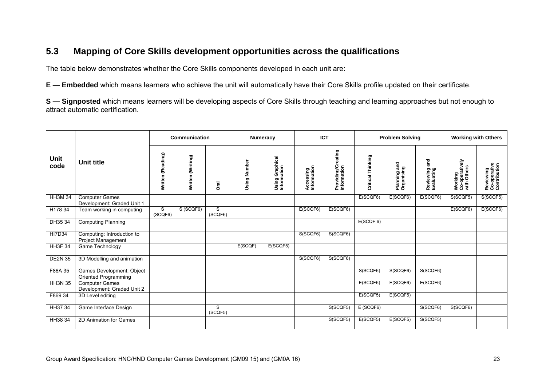# **5.3 Mapping of Core Skills development opportunities across the qualifications**

The table below demonstrates whether the Core Skills components developed in each unit are:

**E — Embedded** which means learners who achieve the unit will automatically have their Core Skills profile updated on their certificate.

**S — Signposted** which means learners will be developing aspects of Core Skills through teaching and learning approaches but not enough to attract automatic certification.

|                |                                                     |                   | Communication     |              |              | <b>Numeracy</b>                | <b>ICT</b>               |                                   |                   | <b>Problem Solving</b>           |                             | <b>Working with Others</b>               |                                           |  |
|----------------|-----------------------------------------------------|-------------------|-------------------|--------------|--------------|--------------------------------|--------------------------|-----------------------------------|-------------------|----------------------------------|-----------------------------|------------------------------------------|-------------------------------------------|--|
| Unit<br>code   | Unit title                                          | Written (Reading) | Written (Writing) | ក<br>ក       | Using Number | Using Graphical<br>Information | Accessing<br>Information | Providing/Creating<br>Information | Critical Thinking | and<br>Planning an<br>Organising | Reviewing and<br>Evaluating | Working<br>Co-operatively<br>with Others | Reviewing<br>Co-operative<br>Contribution |  |
| <b>HH3M 34</b> | <b>Computer Games</b><br>Development: Graded Unit 1 |                   |                   |              |              |                                |                          |                                   | E(SCQF6)          | E(SCQF6)                         | E(SCQF6)                    | S(SCQF5)                                 | S(SCQF5)                                  |  |
| H178 34        | Team working in computing                           | S<br>(SCQF6)      | S (SCQF6)         | S<br>(SCQF6) |              |                                | E(SCQF6)                 | E(SCQF6)                          |                   |                                  |                             | E(SCQF6)                                 | E(SCQF6)                                  |  |
| DH35 34        | <b>Computing Planning</b>                           |                   |                   |              |              |                                |                          |                                   | E(SCQF 6)         |                                  |                             |                                          |                                           |  |
| <b>HI7D34</b>  | Computing: Introduction to<br>Project Management    |                   |                   |              |              |                                | S(SCQF6)                 | S(SCQF6)                          |                   |                                  |                             |                                          |                                           |  |
| <b>HH3F 34</b> | Game Technology                                     |                   |                   |              | E(SCQF)      | E(SCQF5)                       |                          |                                   |                   |                                  |                             |                                          |                                           |  |
| <b>DE2N 35</b> | 3D Modelling and animation                          |                   |                   |              |              |                                | S(SCQF6)                 | S(SCQF6)                          |                   |                                  |                             |                                          |                                           |  |
| F86A 35        | Games Development: Object<br>Oriented Programming   |                   |                   |              |              |                                |                          |                                   | S(SCQF6)          | S(SCQF6)                         | S(SCQF6)                    |                                          |                                           |  |
| <b>HH3N 35</b> | <b>Computer Games</b><br>Development: Graded Unit 2 |                   |                   |              |              |                                |                          |                                   | E(SCQF6)          | E(SCQF6)                         | E(SCQF6)                    |                                          |                                           |  |
| F869 34        | 3D Level editing                                    |                   |                   |              |              |                                |                          |                                   | E(SCQF5)          | E(SCQF5)                         |                             |                                          |                                           |  |
| HH37 34        | Game Interface Design                               |                   |                   | S<br>(SCQF5) |              |                                |                          | S(SCQF5)                          | E (SCQF6)         |                                  | S(SCQF6)                    | S(SCQF6)                                 |                                           |  |
| HH38 34        | 2D Animation for Games                              |                   |                   |              |              |                                |                          | S(SCQF5)                          | E(SCQF5)          | E(SCQF5)                         | S(SCQF5)                    |                                          |                                           |  |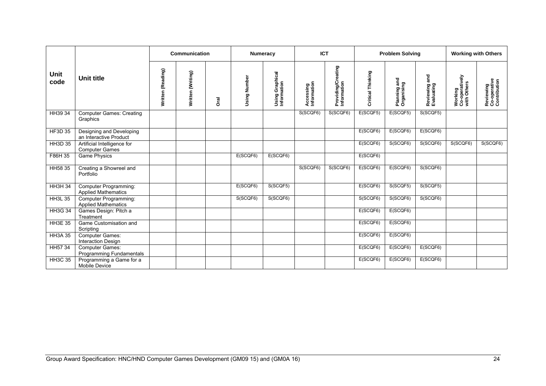|                |                                                      |                   | Communication     |      | <b>Numeracy</b> |                                |                          | <b>ICT</b>                        | <b>Working with Others</b> |                            |                                |                                          |                                           |
|----------------|------------------------------------------------------|-------------------|-------------------|------|-----------------|--------------------------------|--------------------------|-----------------------------------|----------------------------|----------------------------|--------------------------------|------------------------------------------|-------------------------------------------|
| Unit<br>code   | Unit title                                           | Written (Reading) | Written (Writing) | Ōral | Using Number    | Using Graphical<br>Information | Accessing<br>Information | Providing/Creating<br>Information | Critical Thinking          | Planning and<br>Organising | and<br>Reviewing<br>Evaluating | Working<br>Co-operatively<br>with Others | Reviewing<br>Co-operative<br>Contribution |
| HH39 34        | <b>Computer Games: Creating</b><br>Graphics          |                   |                   |      |                 |                                | S(SCQF6)                 | S(SCQF6)                          | E(SCQF5)                   | E(SCQF5)                   | S(SCQF5)                       |                                          |                                           |
| <b>HF3D 35</b> | Designing and Developing<br>an Interactive Product   |                   |                   |      |                 |                                |                          |                                   | E(SCQF6)                   | E(SCQF6)                   | E(SCQF6)                       |                                          |                                           |
| <b>HH3D 35</b> | Artificial Intelligence for<br><b>Computer Games</b> |                   |                   |      |                 |                                |                          |                                   | E(SCQF6)                   | S(SCQF6)                   | S(SCQF6)                       | S(SCQF6)                                 | S(SCQF6)                                  |
| F86H 35        | <b>Game Physics</b>                                  |                   |                   |      | E(SCQF6)        | E(SCQF6)                       |                          |                                   | E(SCQF6)                   |                            |                                |                                          |                                           |
| HH58 35        | Creating a Showreel and<br>Portfolio                 |                   |                   |      |                 |                                | S(SCQF6)                 | S(SCQF6)                          | E(SCQF6)                   | E(SCQF6)                   | S(SCQF6)                       |                                          |                                           |
| <b>HH3H 34</b> | Computer Programming:<br><b>Applied Mathematics</b>  |                   |                   |      | E(SCQF6)        | S(SCQF5)                       |                          |                                   | E(SCQF6)                   | S(SCQF5)                   | S(SCQF5)                       |                                          |                                           |
| <b>HH3L 35</b> | Computer Programming:<br><b>Applied Mathematics</b>  |                   |                   |      | S(SCQF6)        | S(SCQF6)                       |                          |                                   | S(SCQF6)                   | S(SCQF6)                   | S(SCQF6)                       |                                          |                                           |
| <b>HH3G 34</b> | Games Design: Pitch a<br>Treatment                   |                   |                   |      |                 |                                |                          |                                   | E(SCQF6)                   | E(SCQF6)                   |                                |                                          |                                           |
| <b>HH3E 35</b> | Game Customisation and<br>Scripting                  |                   |                   |      |                 |                                |                          |                                   | E(SCQF6)                   | E(SCQF6)                   |                                |                                          |                                           |
| <b>HH3A 35</b> | <b>Computer Games:</b><br>Interaction Design         |                   |                   |      |                 |                                |                          |                                   | E(SCQF6)                   | E(SCQF6)                   |                                |                                          |                                           |
| HH57 34        | <b>Computer Games:</b><br>Programming Fundamentals   |                   |                   |      |                 |                                |                          |                                   | E(SCQF6)                   | E(SCQF6)                   | E(SCQF6)                       |                                          |                                           |
| <b>HH3C 35</b> | Programming a Game for a<br><b>Mobile Device</b>     |                   |                   |      |                 |                                |                          |                                   | E(SCQF6)                   | E(SCQF6)                   | E(SCQF6)                       |                                          |                                           |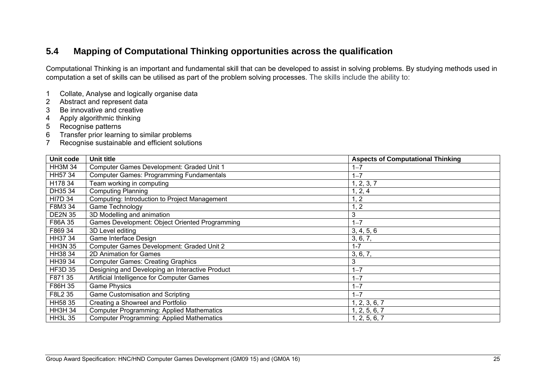# **5.4 Mapping of Computational Thinking opportunities across the qualification**

Computational Thinking is an important and fundamental skill that can be developed to assist in solving problems. By studying methods used in computation a set of skills can be utilised as part of the problem solving processes. The skills include the ability to:

- 1 Collate, Analyse and logically organise data
- 2 Abstract and represent data
- 3 Be innovative and creative
- 4 Apply algorithmic thinking
- 5 Recognise patterns
- 6 Transfer prior learning to similar problems
- 7 Recognise sustainable and efficient solutions

| Unit code      | Unit title                                       | <b>Aspects of Computational Thinking</b> |
|----------------|--------------------------------------------------|------------------------------------------|
| <b>HH3M 34</b> | Computer Games Development: Graded Unit 1        | $1 - 7$                                  |
| HH57 34        | <b>Computer Games: Programming Fundamentals</b>  | $1 - 7$                                  |
| H178 34        | Team working in computing                        | 1, 2, 3, 7                               |
| DH35 34        | <b>Computing Planning</b>                        | 1, 2, 4                                  |
| <b>HI7D 34</b> | Computing: Introduction to Project Management    | 1, 2                                     |
| F8M3 34        | <b>Game Technology</b>                           | 1, 2                                     |
| <b>DE2N 35</b> | 3D Modelling and animation                       | 3                                        |
| F86A 35        | Games Development: Object Oriented Programming   | $1 - 7$                                  |
| F869 34        | 3D Level editing                                 | 3, 4, 5, 6                               |
| HH37 34        | Game Interface Design                            | 3, 6, 7,                                 |
| <b>HH3N 35</b> | Computer Games Development: Graded Unit 2        | $1 - 7$                                  |
| HH38 34        | 2D Animation for Games                           | 3, 6, 7,                                 |
| HH39 34        | <b>Computer Games: Creating Graphics</b>         | 3                                        |
| <b>HF3D 35</b> | Designing and Developing an Interactive Product  | $1 - 7$                                  |
| F871 35        | Artificial Intelligence for Computer Games       | $1 - 7$                                  |
| F86H 35        | <b>Game Physics</b>                              | $1 - 7$                                  |
| F8L2 35        | Game Customisation and Scripting                 | $1 - 7$                                  |
| HH58 35        | Creating a Showreel and Portfolio                | 1, 2, 3, 6, 7                            |
| <b>HH3H 34</b> | <b>Computer Programming: Applied Mathematics</b> | 1, 2, 5, 6, 7                            |
| <b>HH3L 35</b> | <b>Computer Programming: Applied Mathematics</b> | 1, 2, 5, 6, 7                            |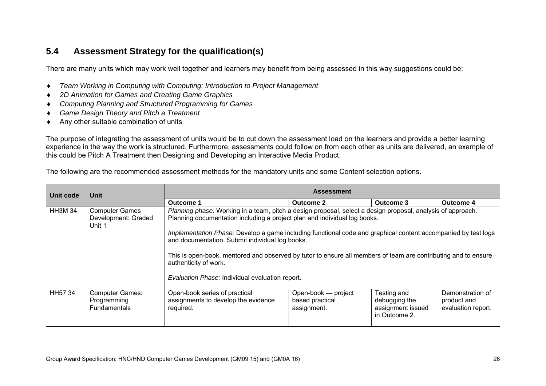## **5.4 Assessment Strategy for the qualification(s)**

There are many units which may work well together and learners may benefit from being assessed in this way suggestions could be:

- $\bullet$ *Team Working in Computing with Computing: Introduction to Project Management*
- $\bullet$ *2D Animation for Games and Creating Game Graphics*
- ٠ *Computing Planning and Structured Programming for Games*
- ٠ *Game Design Theory and Pitch a Treatment*
- Any other suitable combination of units

The purpose of integrating the assessment of units would be to cut down the assessment load on the learners and provide a better learning experience in the way the work is structured. Furthermore, assessments could follow on from each other as units are delivered, an example of this could be Pitch A Treatment then Designing and Developing an Interactive Media Product.

The following are the recommended assessment methods for the mandatory units and some Content selection options.

| Unit code     | Unit                                                   | <b>Assessment</b>                                                                                                                                                                                                                                                                                                                                                                                                                                                                                                                                          |                                                       |                                                                    |                                                       |  |  |
|---------------|--------------------------------------------------------|------------------------------------------------------------------------------------------------------------------------------------------------------------------------------------------------------------------------------------------------------------------------------------------------------------------------------------------------------------------------------------------------------------------------------------------------------------------------------------------------------------------------------------------------------------|-------------------------------------------------------|--------------------------------------------------------------------|-------------------------------------------------------|--|--|
|               |                                                        | Outcome 1                                                                                                                                                                                                                                                                                                                                                                                                                                                                                                                                                  | <b>Outcome 2</b>                                      | Outcome 3                                                          | Outcome 4                                             |  |  |
| <b>HH3M34</b> | <b>Computer Games</b><br>Development: Graded<br>Unit 1 | Planning phase: Working in a team, pitch a design proposal, select a design proposal, analysis of approach.<br>Planning documentation including a project plan and individual log books.<br>Implementation Phase: Develop a game including functional code and graphical content accompanied by test logs<br>and documentation. Submit individual log books.<br>This is open-book, mentored and observed by tutor to ensure all members of team are contributing and to ensure<br>authenticity of work.<br>Evaluation Phase: Individual evaluation report. |                                                       |                                                                    |                                                       |  |  |
| <b>HH5734</b> | <b>Computer Games:</b><br>Programming<br>Fundamentals  | Open-book series of practical<br>assignments to develop the evidence<br>required.                                                                                                                                                                                                                                                                                                                                                                                                                                                                          | Open-book — project<br>based practical<br>assignment. | Testing and<br>debugging the<br>assignment issued<br>in Outcome 2. | Demonstration of<br>product and<br>evaluation report. |  |  |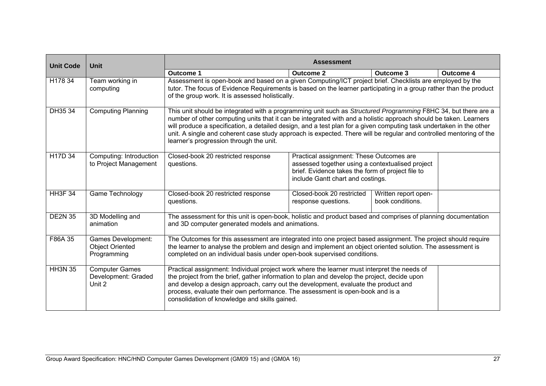| <b>Unit Code</b> | <b>Unit</b>                                                        | <b>Assessment</b>                                                                                                                                                                                                                                                                                                                                                                                                                                                                                                          |                                                                                                                                                                                        |                                          |           |  |
|------------------|--------------------------------------------------------------------|----------------------------------------------------------------------------------------------------------------------------------------------------------------------------------------------------------------------------------------------------------------------------------------------------------------------------------------------------------------------------------------------------------------------------------------------------------------------------------------------------------------------------|----------------------------------------------------------------------------------------------------------------------------------------------------------------------------------------|------------------------------------------|-----------|--|
|                  |                                                                    | <b>Outcome 1</b>                                                                                                                                                                                                                                                                                                                                                                                                                                                                                                           | <b>Outcome 2</b>                                                                                                                                                                       | Outcome 3                                | Outcome 4 |  |
| H178 34          | Team working in<br>computing                                       | Assessment is open-book and based on a given Computing/ICT project brief. Checklists are employed by the<br>tutor. The focus of Evidence Requirements is based on the learner participating in a group rather than the product<br>of the group work. It is assessed holistically.                                                                                                                                                                                                                                          |                                                                                                                                                                                        |                                          |           |  |
| DH35 34          | <b>Computing Planning</b>                                          | This unit should be integrated with a programming unit such as Structured Programming F8HC 34, but there are a<br>number of other computing units that it can be integrated with and a holistic approach should be taken. Learners<br>will produce a specification, a detailed design, and a test plan for a given computing task undertaken in the other<br>unit. A single and coherent case study approach is expected. There will be regular and controlled mentoring of the<br>learner's progression through the unit. |                                                                                                                                                                                        |                                          |           |  |
| H17D 34          | Computing: Introduction<br>to Project Management                   | Closed-book 20 restricted response<br>questions.                                                                                                                                                                                                                                                                                                                                                                                                                                                                           | Practical assignment: These Outcomes are<br>assessed together using a contextualised project<br>brief. Evidence takes the form of project file to<br>include Gantt chart and costings. |                                          |           |  |
| <b>HH3F 34</b>   | Game Technology                                                    | Closed-book 20 restricted response<br>questions.                                                                                                                                                                                                                                                                                                                                                                                                                                                                           | Closed-book 20 restricted<br>response questions.                                                                                                                                       | Written report open-<br>book conditions. |           |  |
| <b>DE2N 35</b>   | 3D Modelling and<br>animation                                      | The assessment for this unit is open-book, holistic and product based and comprises of planning documentation<br>and 3D computer generated models and animations.                                                                                                                                                                                                                                                                                                                                                          |                                                                                                                                                                                        |                                          |           |  |
| F86A 35          | <b>Games Development:</b><br><b>Object Oriented</b><br>Programming | The Outcomes for this assessment are integrated into one project based assignment. The project should require<br>the learner to analyse the problem and design and implement an object oriented solution. The assessment is<br>completed on an individual basis under open-book supervised conditions.                                                                                                                                                                                                                     |                                                                                                                                                                                        |                                          |           |  |
| <b>HH3N 35</b>   | <b>Computer Games</b><br>Development: Graded<br>Unit 2             | Practical assignment: Individual project work where the learner must interpret the needs of<br>the project from the brief, gather information to plan and develop the project, decide upon<br>and develop a design approach, carry out the development, evaluate the product and<br>process, evaluate their own performance. The assessment is open-book and is a<br>consolidation of knowledge and skills gained.                                                                                                         |                                                                                                                                                                                        |                                          |           |  |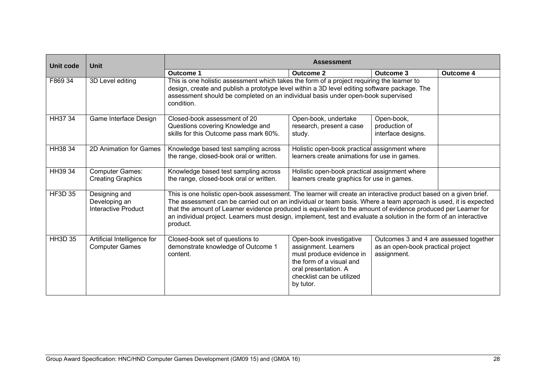| Unit code      | <b>Unit</b>                                           | <b>Assessment</b>                                                                                                                                                                                                                                                                                                                                                                                                                                                                       |                                                                                                                                                                           |                                                                                            |                  |  |
|----------------|-------------------------------------------------------|-----------------------------------------------------------------------------------------------------------------------------------------------------------------------------------------------------------------------------------------------------------------------------------------------------------------------------------------------------------------------------------------------------------------------------------------------------------------------------------------|---------------------------------------------------------------------------------------------------------------------------------------------------------------------------|--------------------------------------------------------------------------------------------|------------------|--|
|                |                                                       | Outcome 1                                                                                                                                                                                                                                                                                                                                                                                                                                                                               | <b>Outcome 2</b>                                                                                                                                                          | Outcome 3                                                                                  | <b>Outcome 4</b> |  |
| F869 34        | 3D Level editing                                      | This is one holistic assessment which takes the form of a project requiring the learner to<br>design, create and publish a prototype level within a 3D level editing software package. The<br>assessment should be completed on an individual basis under open-book supervised<br>condition.                                                                                                                                                                                            |                                                                                                                                                                           |                                                                                            |                  |  |
| HH37 34        | Game Interface Design                                 | Closed-book assessment of 20<br>Questions covering Knowledge and<br>skills for this Outcome pass mark 60%.                                                                                                                                                                                                                                                                                                                                                                              | Open-book, undertake<br>research, present a case<br>study.                                                                                                                | Open-book,<br>production of<br>interface designs.                                          |                  |  |
| HH38 34        | 2D Animation for Games                                | Knowledge based test sampling across<br>the range, closed-book oral or written.                                                                                                                                                                                                                                                                                                                                                                                                         | Holistic open-book practical assignment where<br>learners create animations for use in games.                                                                             |                                                                                            |                  |  |
| HH39 34        | <b>Computer Games:</b><br><b>Creating Graphics</b>    | Knowledge based test sampling across<br>the range, closed-book oral or written.                                                                                                                                                                                                                                                                                                                                                                                                         | Holistic open-book practical assignment where<br>learners create graphics for use in games.                                                                               |                                                                                            |                  |  |
| <b>HF3D 35</b> | Designing and<br>Developing an<br>Interactive Product | This is one holistic open-book assessment. The learner will create an interactive product based on a given brief.<br>The assessment can be carried out on an individual or team basis. Where a team approach is used, it is expected<br>that the amount of Learner evidence produced is equivalent to the amount of evidence produced per Learner for<br>an individual project. Learners must design, implement, test and evaluate a solution in the form of an interactive<br>product. |                                                                                                                                                                           |                                                                                            |                  |  |
| <b>HH3D 35</b> | Artificial Intelligence for<br><b>Computer Games</b>  | Closed-book set of questions to<br>demonstrate knowledge of Outcome 1<br>content.                                                                                                                                                                                                                                                                                                                                                                                                       | Open-book investigative<br>assignment. Learners<br>must produce evidence in<br>the form of a visual and<br>oral presentation. A<br>checklist can be utilized<br>by tutor. | Outcomes 3 and 4 are assessed together<br>as an open-book practical project<br>assignment. |                  |  |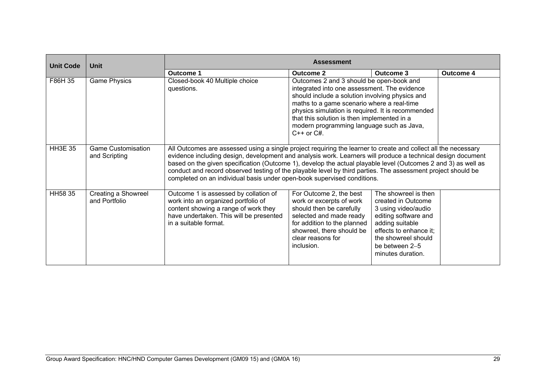| <b>Unit Code</b> | Unit                                       | <b>Assessment</b>                                                                                                                                                                                                                                                                                                                                                                                                                                                                                                                         |                                                                                                                                                                                                                                                                                                                                                               |                                                                                                                                                                                                      |                  |  |
|------------------|--------------------------------------------|-------------------------------------------------------------------------------------------------------------------------------------------------------------------------------------------------------------------------------------------------------------------------------------------------------------------------------------------------------------------------------------------------------------------------------------------------------------------------------------------------------------------------------------------|---------------------------------------------------------------------------------------------------------------------------------------------------------------------------------------------------------------------------------------------------------------------------------------------------------------------------------------------------------------|------------------------------------------------------------------------------------------------------------------------------------------------------------------------------------------------------|------------------|--|
|                  |                                            | Outcome 1                                                                                                                                                                                                                                                                                                                                                                                                                                                                                                                                 | Outcome 2                                                                                                                                                                                                                                                                                                                                                     | Outcome 3                                                                                                                                                                                            | <b>Outcome 4</b> |  |
| F86H 35          | <b>Game Physics</b>                        | Closed-book 40 Multiple choice<br>questions.                                                                                                                                                                                                                                                                                                                                                                                                                                                                                              | Outcomes 2 and 3 should be open-book and<br>integrated into one assessment. The evidence<br>should include a solution involving physics and<br>maths to a game scenario where a real-time<br>physics simulation is required. It is recommended<br>that this solution is then implemented in a<br>modern programming language such as Java,<br>$C++$ or $C#$ . |                                                                                                                                                                                                      |                  |  |
| <b>HH3E 35</b>   | <b>Game Customisation</b><br>and Scripting | All Outcomes are assessed using a single project requiring the learner to create and collect all the necessary<br>evidence including design, development and analysis work. Learners will produce a technical design document<br>based on the given specification (Outcome 1), develop the actual playable level (Outcomes 2 and 3) as well as<br>conduct and record observed testing of the playable level by third parties. The assessment project should be<br>completed on an individual basis under open-book supervised conditions. |                                                                                                                                                                                                                                                                                                                                                               |                                                                                                                                                                                                      |                  |  |
| HH58 35          | Creating a Showreel<br>and Portfolio       | Outcome 1 is assessed by collation of<br>work into an organized portfolio of<br>content showing a range of work they<br>have undertaken. This will be presented<br>in a suitable format.                                                                                                                                                                                                                                                                                                                                                  | For Outcome 2, the best<br>work or excerpts of work<br>should then be carefully<br>selected and made ready<br>for addition to the planned<br>showreel, there should be<br>clear reasons for<br>inclusion.                                                                                                                                                     | The showreel is then<br>created in Outcome<br>3 using video/audio<br>editing software and<br>adding suitable<br>effects to enhance it;<br>the showreel should<br>be between 2-5<br>minutes duration. |                  |  |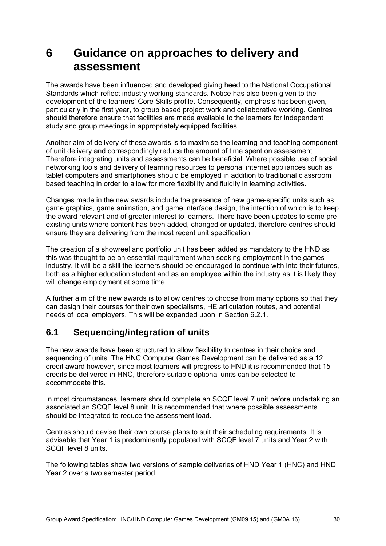# **6 Guidance on approaches to delivery and assessment**

The awards have been influenced and developed giving heed to the National Occupational Standards which reflect industry working standards. Notice has also been given to the development of the learners' Core Skills profile. Consequently, emphasis has been given, particularly in the first year, to group based project work and collaborative working. Centres should therefore ensure that facilities are made available to the learners for independent study and group meetings in appropriately equipped facilities.

Another aim of delivery of these awards is to maximise the learning and teaching component of unit delivery and correspondingly reduce the amount of time spent on assessment. Therefore integrating units and assessments can be beneficial. Where possible use of social networking tools and delivery of learning resources to personal internet appliances such as tablet computers and smartphones should be employed in addition to traditional classroom based teaching in order to allow for more flexibility and fluidity in learning activities.

Changes made in the new awards include the presence of new game-specific units such as game graphics, game animation, and game interface design, the intention of which is to keep the award relevant and of greater interest to learners. There have been updates to some preexisting units where content has been added, changed or updated, therefore centres should ensure they are delivering from the most recent unit specification.

The creation of a showreel and portfolio unit has been added as mandatory to the HND as this was thought to be an essential requirement when seeking employment in the games industry. It will be a skill the learners should be encouraged to continue with into their futures, both as a higher education student and as an employee within the industry as it is likely they will change employment at some time.

A further aim of the new awards is to allow centres to choose from many options so that they can design their courses for their own specialisms, HE articulation routes, and potential needs of local employers. This will be expanded upon in Section 6.2.1.

## **6.1 Sequencing/integration of units**

The new awards have been structured to allow flexibility to centres in their choice and sequencing of units. The HNC Computer Games Development can be delivered as a 12 credit award however, since most learners will progress to HND it is recommended that 15 credits be delivered in HNC, therefore suitable optional units can be selected to accommodate this.

In most circumstances, learners should complete an SCQF level 7 unit before undertaking an associated an SCQF level 8 unit. It is recommended that where possible assessments should be integrated to reduce the assessment load.

Centres should devise their own course plans to suit their scheduling requirements. It is advisable that Year 1 is predominantly populated with SCQF level 7 units and Year 2 with SCQF level 8 units.

The following tables show two versions of sample deliveries of HND Year 1 (HNC) and HND Year 2 over a two semester period.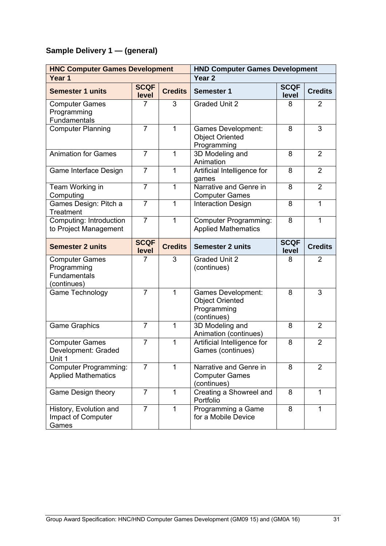# **Sample Delivery 1 — (general)**

| <b>HNC Computer Games Development</b>                               |                      |                | <b>HND Computer Games Development</b>                                             |                      |                |  |
|---------------------------------------------------------------------|----------------------|----------------|-----------------------------------------------------------------------------------|----------------------|----------------|--|
| Year 1                                                              |                      |                | Year <sub>2</sub>                                                                 |                      |                |  |
| <b>Semester 1 units</b>                                             | <b>SCQF</b><br>level | <b>Credits</b> | <b>Semester 1</b>                                                                 | <b>SCQF</b><br>level | <b>Credits</b> |  |
| <b>Computer Games</b><br>Programming<br>Fundamentals                | 7                    | 3              | <b>Graded Unit 2</b>                                                              | 8                    | $\overline{2}$ |  |
| <b>Computer Planning</b>                                            | $\overline{7}$       | $\mathbf{1}$   | <b>Games Development:</b><br><b>Object Oriented</b><br>Programming                | 8                    | 3              |  |
| <b>Animation for Games</b>                                          | $\overline{7}$       | $\mathbf{1}$   | 3D Modeling and<br>Animation                                                      | 8                    | $\overline{2}$ |  |
| Game Interface Design                                               | $\overline{7}$       | 1              | Artificial Intelligence for<br>games                                              | 8                    | $\overline{2}$ |  |
| Team Working in<br>Computing                                        | $\overline{7}$       | 1              | Narrative and Genre in<br><b>Computer Games</b>                                   | 8                    | $\overline{2}$ |  |
| Games Design: Pitch a<br>Treatment                                  | $\overline{7}$       | $\mathbf{1}$   | <b>Interaction Design</b>                                                         | 8                    | 1              |  |
| Computing: Introduction<br>to Project Management                    | $\overline{7}$       | $\mathbf{1}$   | <b>Computer Programming:</b><br><b>Applied Mathematics</b>                        | 8                    | $\mathbf{1}$   |  |
| <b>Semester 2 units</b>                                             | <b>SCQF</b><br>level | <b>Credits</b> | <b>Semester 2 units</b>                                                           | <b>SCQF</b><br>level | <b>Credits</b> |  |
| <b>Computer Games</b><br>Programming<br>Fundamentals<br>(continues) | 7                    | 3              | <b>Graded Unit 2</b><br>(continues)                                               | 8                    | $\overline{2}$ |  |
| Game Technology                                                     | $\overline{7}$       | 1              | <b>Games Development:</b><br><b>Object Oriented</b><br>Programming<br>(continues) | 8                    | 3              |  |
| <b>Game Graphics</b>                                                | $\overline{7}$       | 1              | 3D Modeling and<br>Animation (continues)                                          | 8                    | $\overline{2}$ |  |
| <b>Computer Games</b><br>Development: Graded<br>Unit 1              | $\overline{7}$       | 1              | Artificial Intelligence for<br>Games (continues)                                  | 8                    | $\overline{2}$ |  |
| <b>Computer Programming:</b><br><b>Applied Mathematics</b>          | $\overline{7}$       | 1              | Narrative and Genre in<br><b>Computer Games</b><br>(continues)                    | 8                    | $\overline{2}$ |  |
| Game Design theory                                                  | $\overline{7}$       | $\mathbf{1}$   | Creating a Showreel and<br>Portfolio                                              | 8                    | 1              |  |
| History, Evolution and<br>Impact of Computer<br>Games               | $\overline{7}$       | $\mathbf{1}$   | Programming a Game<br>for a Mobile Device                                         | 8                    | 1              |  |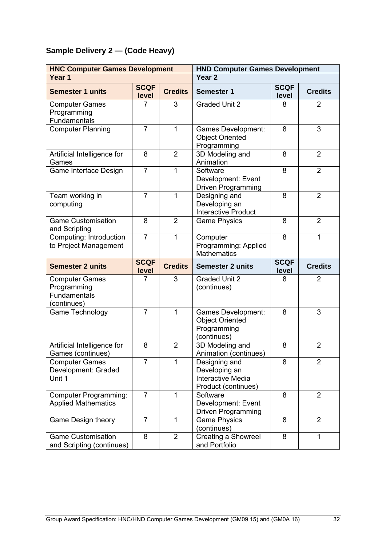# **Sample Delivery 2 — (Code Heavy)**

| <b>HNC Computer Games Development</b>                               |                      |                | <b>HND Computer Games Development</b>                                             |                      |                |  |
|---------------------------------------------------------------------|----------------------|----------------|-----------------------------------------------------------------------------------|----------------------|----------------|--|
| Year 1                                                              |                      |                | Year <sub>2</sub>                                                                 |                      |                |  |
| <b>Semester 1 units</b>                                             | <b>SCQF</b><br>level | <b>Credits</b> | <b>Semester 1</b>                                                                 | <b>SCQF</b><br>level | <b>Credits</b> |  |
| <b>Computer Games</b><br>Programming<br>Fundamentals                | 7                    | 3              | <b>Graded Unit 2</b>                                                              | 8                    | $\overline{2}$ |  |
| <b>Computer Planning</b>                                            | $\overline{7}$       | $\mathbf{1}$   | Games Development:<br><b>Object Oriented</b><br>Programming                       | 8                    | 3              |  |
| Artificial Intelligence for<br>Games                                | 8                    | $\overline{2}$ | 3D Modeling and<br>Animation                                                      | 8                    | $\overline{2}$ |  |
| Game Interface Design                                               | $\overline{7}$       | 1              | Software<br>Development: Event<br><b>Driven Programming</b>                       | 8                    | $\overline{2}$ |  |
| Team working in<br>computing                                        | $\overline{7}$       | 1              | Designing and<br>Developing an<br><b>Interactive Product</b>                      | 8                    | $\overline{2}$ |  |
| <b>Game Customisation</b><br>and Scripting                          | 8                    | $\overline{2}$ | <b>Game Physics</b>                                                               | 8                    | $\overline{2}$ |  |
| Computing: Introduction<br>to Project Management                    | $\overline{7}$       | 1              | Computer<br>Programming: Applied<br><b>Mathematics</b>                            | 8                    | 1              |  |
| <b>Semester 2 units</b>                                             | <b>SCQF</b><br>level | <b>Credits</b> | <b>Semester 2 units</b>                                                           | <b>SCQF</b><br>level | <b>Credits</b> |  |
| <b>Computer Games</b><br>Programming<br>Fundamentals<br>(continues) | 7                    | 3              | <b>Graded Unit 2</b><br>(continues)                                               | 8                    | $\overline{2}$ |  |
| Game Technology                                                     | $\overline{7}$       | 1              | Games Development:<br><b>Object Oriented</b><br>Programming<br>(continues)        | 8                    | 3              |  |
| Artificial Intelligence for<br>Games (continues)                    | 8                    | $\overline{2}$ | 3D Modeling and<br>Animation (continues)                                          | 8                    | $\overline{2}$ |  |
| <b>Computer Games</b><br>Development: Graded<br>Unit 1              | $\overline{7}$       | 1              | Designing and<br>Developing an<br><b>Interactive Media</b><br>Product (continues) | 8                    | $\overline{2}$ |  |
| <b>Computer Programming:</b><br><b>Applied Mathematics</b>          | $\overline{7}$       | 1              | Software<br>Development: Event<br>Driven Programming                              | 8                    | $\overline{2}$ |  |
| Game Design theory                                                  | $\overline{7}$       | 1              | <b>Game Physics</b><br>(continues)                                                | 8                    | $\overline{2}$ |  |
| <b>Game Customisation</b>                                           | 8                    | $\overline{2}$ | Creating a Showreel                                                               | 8                    | 1              |  |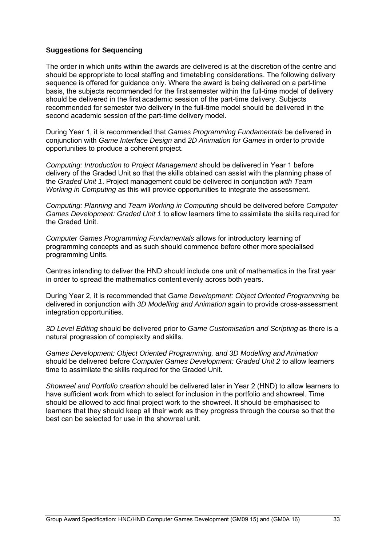#### **Suggestions for Sequencing**

The order in which units within the awards are delivered is at the discretion of the centre and should be appropriate to local staffing and timetabling considerations. The following delivery sequence is offered for guidance only. Where the award is being delivered on a part-time basis, the subjects recommended for the first semester within the full-time model of delivery should be delivered in the first academic session of the part-time delivery. Subjects recommended for semester two delivery in the full-time model should be delivered in the second academic session of the part-time delivery model.

During Year 1, it is recommended that *Games Programming Fundamentals* be delivered in conjunction with *Game Interface Design* and *2D Animation for Games* in order to provide opportunities to produce a coherent project.

*Computing: Introduction to Project Management* should be delivered in Year 1 before delivery of the Graded Unit so that the skills obtained can assist with the planning phase of the *Graded Unit 1*. Project management could be delivered in conjunction *with Team Working in Computing* as this will provide opportunities to integrate the assessment.

*Computing: Planning* and *Team Working in Computing* should be delivered before *Computer Games Development: Graded Unit 1* to allow learners time to assimilate the skills required for the Graded Unit.

*Computer Games Programming Fundamentals* allows for introductory learning of programming concepts and as such should commence before other more specialised programming Units.

Centres intending to deliver the HND should include one unit of mathematics in the first year in order to spread the mathematics content evenly across both years.

During Year 2, it is recommended that *Game Development: Object Oriented Programming* be delivered in conjunction with *3D Modelling and Animation* again to provide cross-assessment integration opportunities.

*3D Level Editing* should be delivered prior to *Game Customisation and Scripting* as there is a natural progression of complexity and skills.

*Games Development: Object Oriented Programming, and 3D Modelling and Animation*  should be delivered before *Computer Games Development: Graded Unit 2* to allow learners time to assimilate the skills required for the Graded Unit.

*Showreel and Portfolio creation* should be delivered later in Year 2 (HND) to allow learners to have sufficient work from which to select for inclusion in the portfolio and showreel. Time should be allowed to add final project work to the showreel. It should be emphasised to learners that they should keep all their work as they progress through the course so that the best can be selected for use in the showreel unit.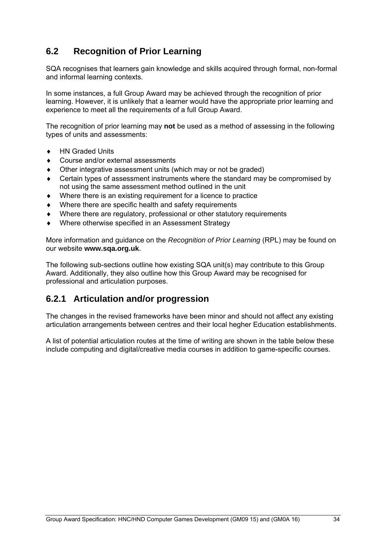# **6.2 Recognition of Prior Learning**

SQA recognises that learners gain knowledge and skills acquired through formal, non-formal and informal learning contexts.

In some instances, a full Group Award may be achieved through the recognition of prior learning. However, it is unlikely that a learner would have the appropriate prior learning and experience to meet all the requirements of a full Group Award.

The recognition of prior learning may **not** be used as a method of assessing in the following types of units and assessments:

- ◆ HN Graded Units
- Course and/or external assessments
- Other integrative assessment units (which may or not be graded)
- Certain types of assessment instruments where the standard may be compromised by not using the same assessment method outlined in the unit
- Where there is an existing requirement for a licence to practice
- Where there are specific health and safety requirements
- Where there are regulatory, professional or other statutory requirements
- Where otherwise specified in an Assessment Strategy

More information and guidance on the *Recognition of Prior Learning* (RPL) may be found on our website **www.sqa.org.uk**.

The following sub-sections outline how existing SQA unit(s) may contribute to this Group Award. Additionally, they also outline how this Group Award may be recognised for professional and articulation purposes.

## **6.2.1 Articulation and/or progression**

The changes in the revised frameworks have been minor and should not affect any existing articulation arrangements between centres and their local hegher Education establishments.

A list of potential articulation routes at the time of writing are shown in the table below these include computing and digital/creative media courses in addition to game-specific courses.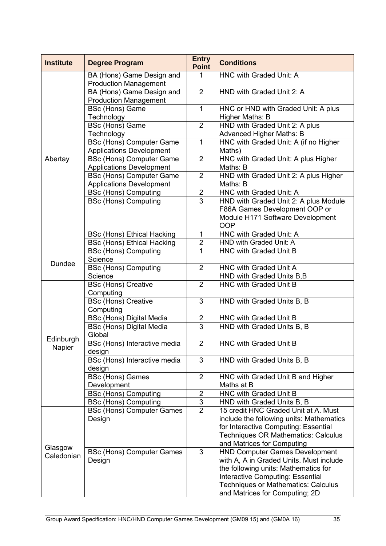| <b>Institute</b>      | <b>Degree Program</b>                                              | <b>Entry</b><br><b>Point</b> | <b>Conditions</b>                                                                                                                                                                                                                                   |
|-----------------------|--------------------------------------------------------------------|------------------------------|-----------------------------------------------------------------------------------------------------------------------------------------------------------------------------------------------------------------------------------------------------|
|                       | BA (Hons) Game Design and<br><b>Production Management</b>          | $\mathbf{1}$                 | HNC with Graded Unit: A                                                                                                                                                                                                                             |
|                       | BA (Hons) Game Design and<br><b>Production Management</b>          | 2                            | HND with Graded Unit 2: A                                                                                                                                                                                                                           |
|                       | BSc (Hons) Game<br>Technology                                      | $\mathbf{1}$                 | HNC or HND with Graded Unit: A plus<br>Higher Maths: B                                                                                                                                                                                              |
|                       | BSc (Hons) Game<br>Technology                                      | $\overline{2}$               | HND with Graded Unit 2: A plus<br><b>Advanced Higher Maths: B</b>                                                                                                                                                                                   |
|                       | <b>BSc (Hons) Computer Game</b><br><b>Applications Development</b> | $\mathbf{1}$                 | HNC with Graded Unit: A (if no Higher<br>Maths)                                                                                                                                                                                                     |
| Abertay               | <b>BSc (Hons) Computer Game</b><br><b>Applications Development</b> | $\overline{2}$               | HNC with Graded Unit: A plus Higher<br>Maths: B                                                                                                                                                                                                     |
|                       | <b>BSc (Hons) Computer Game</b><br><b>Applications Development</b> | $\overline{2}$               | HND with Graded Unit 2: A plus Higher<br>Maths: B                                                                                                                                                                                                   |
|                       | <b>BSc (Hons) Computing</b>                                        | $\overline{2}$               | HNC with Graded Unit: A                                                                                                                                                                                                                             |
|                       | <b>BSc (Hons) Computing</b>                                        | 3                            | HND with Graded Unit 2: A plus Module                                                                                                                                                                                                               |
|                       |                                                                    |                              | F86A Games Development OOP or                                                                                                                                                                                                                       |
|                       |                                                                    |                              | Module H171 Software Development<br><b>OOP</b>                                                                                                                                                                                                      |
|                       | <b>BSc (Hons) Ethical Hacking</b>                                  | 1                            | HNC with Graded Unit: A                                                                                                                                                                                                                             |
|                       | <b>BSc (Hons) Ethical Hacking</b>                                  | $\overline{2}$               | <b>HND with Graded Unit: A</b>                                                                                                                                                                                                                      |
| <b>Dundee</b>         | <b>BSc (Hons) Computing</b><br>Science                             | 1                            | HNC with Graded Unit B                                                                                                                                                                                                                              |
|                       | <b>BSc (Hons) Computing</b>                                        | $\overline{2}$               | HNC with Graded Unit A                                                                                                                                                                                                                              |
|                       | Science                                                            |                              | HND with Graded Units B, B                                                                                                                                                                                                                          |
|                       | <b>BSc (Hons) Creative</b><br>Computing                            | $\overline{2}$               | HNC with Graded Unit B                                                                                                                                                                                                                              |
|                       | <b>BSc (Hons) Creative</b><br>Computing                            | 3                            | HND with Graded Units B, B                                                                                                                                                                                                                          |
|                       | <b>BSc (Hons) Digital Media</b>                                    | $\mathbf{2}$                 | HNC with Graded Unit B                                                                                                                                                                                                                              |
|                       | <b>BSc (Hons) Digital Media</b><br>Global                          | 3                            | HND with Graded Units B, B                                                                                                                                                                                                                          |
| Edinburgh<br>Napier   | BSc (Hons) Interactive media<br>design                             | $\overline{2}$               | HNC with Graded Unit B                                                                                                                                                                                                                              |
|                       | BSc (Hons) Interactive media<br>design                             | 3                            | HND with Graded Units B, B                                                                                                                                                                                                                          |
|                       | <b>BSc (Hons) Games</b><br>Development                             | $\overline{2}$               | HNC with Graded Unit B and Higher<br>Maths at B                                                                                                                                                                                                     |
|                       | <b>BSc (Hons) Computing</b>                                        | $\overline{2}$               | HNC with Graded Unit B                                                                                                                                                                                                                              |
|                       | <b>BSc (Hons) Computing</b>                                        | 3                            | HND with Graded Units B, B                                                                                                                                                                                                                          |
|                       | <b>BSc (Hons) Computer Games</b>                                   | $\overline{2}$               | 15 credit HNC Graded Unit at A. Must                                                                                                                                                                                                                |
| Glasgow<br>Caledonian | Design                                                             |                              | include the following units: Mathematics<br>for Interactive Computing: Essential<br><b>Techniques OR Mathematics: Calculus</b><br>and Matrices for Computing                                                                                        |
|                       | <b>BSc (Hons) Computer Games</b><br>Design                         | 3                            | <b>HND Computer Games Development</b><br>with A, A in Graded Units. Must include<br>the following units: Mathematics for<br><b>Interactive Computing: Essential</b><br><b>Techniques or Mathematics: Calculus</b><br>and Matrices for Computing; 2D |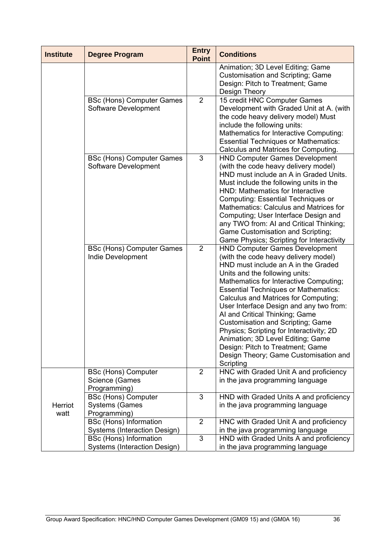| Animation; 3D Level Editing; Game<br><b>Customisation and Scripting; Game</b><br>Design: Pitch to Treatment; Game                                                                                                                                                                                                                                                                                                                                                                                                                            |
|----------------------------------------------------------------------------------------------------------------------------------------------------------------------------------------------------------------------------------------------------------------------------------------------------------------------------------------------------------------------------------------------------------------------------------------------------------------------------------------------------------------------------------------------|
| 15 credit HNC Computer Games<br>Development with Graded Unit at A. (with<br>the code heavy delivery model) Must<br><b>Mathematics for Interactive Computing:</b><br><b>Essential Techniques or Mathematics:</b><br>Calculus and Matrices for Computing.                                                                                                                                                                                                                                                                                      |
| <b>HND Computer Games Development</b><br>(with the code heavy delivery model)<br>HND must include an A in Graded Units.<br>Must include the following units in the<br>HND: Mathematics for Interactive<br><b>Computing: Essential Techniques or</b><br>Mathematics: Calculus and Matrices for<br>Computing; User Interface Design and<br>any TWO from: AI and Critical Thinking;<br>Game Customisation and Scripting;<br>Game Physics; Scripting for Interactivity                                                                           |
| <b>HND Computer Games Development</b><br>(with the code heavy delivery model)<br>HND must include an A in the Graded<br>Mathematics for Interactive Computing;<br><b>Essential Techniques or Mathematics:</b><br>Calculus and Matrices for Computing;<br>User Interface Design and any two from:<br>AI and Critical Thinking; Game<br><b>Customisation and Scripting; Game</b><br>Physics; Scripting for Interactivity; 2D<br>Animation; 3D Level Editing; Game<br>Design: Pitch to Treatment; Game<br>Design Theory; Game Customisation and |
| HNC with Graded Unit A and proficiency<br>in the java programming language                                                                                                                                                                                                                                                                                                                                                                                                                                                                   |
| HND with Graded Units A and proficiency<br>in the java programming language                                                                                                                                                                                                                                                                                                                                                                                                                                                                  |
| HNC with Graded Unit A and proficiency                                                                                                                                                                                                                                                                                                                                                                                                                                                                                                       |
| HND with Graded Units A and proficiency<br>in the java programming language                                                                                                                                                                                                                                                                                                                                                                                                                                                                  |
| in the java programming language                                                                                                                                                                                                                                                                                                                                                                                                                                                                                                             |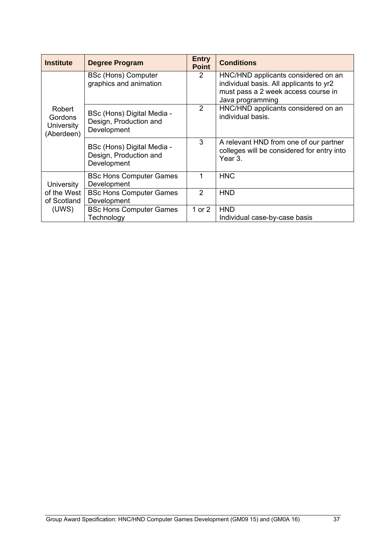| <b>Institute</b>                              | <b>Degree Program</b>                                               | <b>Entry</b><br><b>Point</b> | <b>Conditions</b>                                                                                                                         |
|-----------------------------------------------|---------------------------------------------------------------------|------------------------------|-------------------------------------------------------------------------------------------------------------------------------------------|
|                                               | <b>BSc (Hons) Computer</b><br>graphics and animation                | 2                            | HNC/HND applicants considered on an<br>individual basis. All applicants to yr2<br>must pass a 2 week access course in<br>Java programming |
| Robert<br>Gordons<br>University<br>(Aberdeen) | BSc (Hons) Digital Media -<br>Design, Production and<br>Development | 2                            | HNC/HND applicants considered on an<br>individual basis.                                                                                  |
|                                               | BSc (Hons) Digital Media -<br>Design, Production and<br>Development | 3                            | A relevant HND from one of our partner<br>colleges will be considered for entry into<br>Year 3.                                           |
| <b>University</b>                             | <b>BSc Hons Computer Games</b><br>Development                       |                              | <b>HNC</b>                                                                                                                                |
| of the West<br>of Scotland                    | <b>BSc Hons Computer Games</b><br>Development                       | 2                            | <b>HND</b>                                                                                                                                |
| (UWS)                                         | <b>BSc Hons Computer Games</b><br>Technology                        | 1 or $2$                     | <b>HND</b><br>Individual case-by-case basis                                                                                               |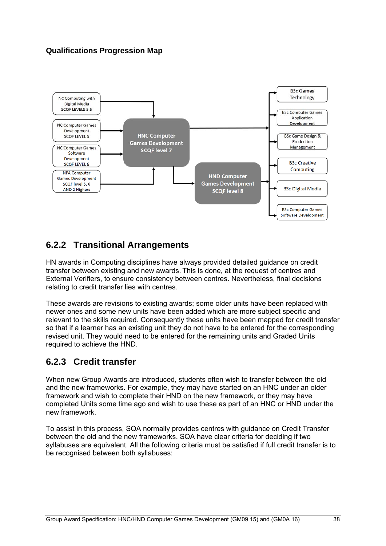#### **Qualifications Progression Map**



## **6.2.2 Transitional Arrangements**

HN awards in Computing disciplines have always provided detailed guidance on credit transfer between existing and new awards. This is done, at the request of centres and External Verifiers, to ensure consistency between centres. Nevertheless, final decisions relating to credit transfer lies with centres.

These awards are revisions to existing awards; some older units have been replaced with newer ones and some new units have been added which are more subject specific and relevant to the skills required. Consequently these units have been mapped for credit transfer so that if a learner has an existing unit they do not have to be entered for the corresponding revised unit. They would need to be entered for the remaining units and Graded Units required to achieve the HND.

## **6.2.3 Credit transfer**

When new Group Awards are introduced, students often wish to transfer between the old and the new frameworks. For example, they may have started on an HNC under an older framework and wish to complete their HND on the new framework, or they may have completed Units some time ago and wish to use these as part of an HNC or HND under the new framework.

To assist in this process, SQA normally provides centres with guidance on Credit Transfer between the old and the new frameworks. SQA have clear criteria for deciding if two syllabuses are equivalent. All the following criteria must be satisfied if full credit transfer is to be recognised between both syllabuses: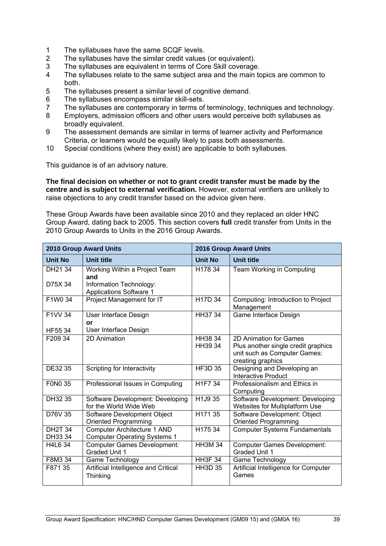- 1 The syllabuses have the same SCQF levels.
- 2 The syllabuses have the similar credit values (or equivalent).
- 3 The syllabuses are equivalent in terms of Core Skill coverage.
- 4 The syllabuses relate to the same subject area and the main topics are common to both.
- 5 The syllabuses present a similar level of cognitive demand.
- 6 The syllabuses encompass similar skill-sets.
- 7 The syllabuses are contemporary in terms of terminology, techniques and technology.
- 8 Employers, admission officers and other users would perceive both syllabuses as broadly equivalent.
- 9 The assessment demands are similar in terms of learner activity and Performance Criteria, or learners would be equally likely to pass both assessments.
- 10 Special conditions (where they exist) are applicable to both syllabuses.

This guidance is of an advisory nature.

**The final decision on whether or not to grant credit transfer must be made by the centre and is subject to external verification.** However, external verifiers are unlikely to raise objections to any credit transfer based on the advice given here.

These Group Awards have been available since 2010 and they replaced an older HNC Group Award, dating back to 2005. This section covers **full** credit transfer from Units in the 2010 Group Awards to Units in the 2016 Group Awards.

| <b>2010 Group Award Units</b> |                                                            |                                  | <b>2016 Group Award Units</b>                                       |
|-------------------------------|------------------------------------------------------------|----------------------------------|---------------------------------------------------------------------|
| <b>Unit No</b>                | <b>Unit title</b>                                          | <b>Unit No</b>                   | Unit title                                                          |
| DH21 34                       | Working Within a Project Team<br>and                       | H178 34                          | Team Working in Computing                                           |
| D75X 34                       | Information Technology:<br><b>Applications Software 1</b>  |                                  |                                                                     |
| F1W0 34                       | Project Management for IT                                  | H <sub>17</sub> D <sub>34</sub>  | Computing: Introduction to Project<br>Management                    |
| F1VV 34                       | User Interface Design<br>or                                | HH37 34                          | Game Interface Design                                               |
| HF55 34                       | User Interface Design                                      |                                  |                                                                     |
| F209 34                       | 2D Animation                                               | HH38 34                          | 2D Animation for Games                                              |
|                               |                                                            | HH39 34                          | Plus another single credit graphics<br>unit such as Computer Games: |
|                               |                                                            |                                  | creating graphics                                                   |
| DE32 35                       | Scripting for Interactivity                                | <b>HF3D 35</b>                   | Designing and Developing an<br><b>Interactive Product</b>           |
| <b>FONO 35</b>                | Professional Issues in Computing                           | H <sub>1</sub> F <sub>7</sub> 34 | Professionalism and Ethics in<br>Computing                          |
| DH32 35                       | Software Development: Developing<br>for the World Wide Web | H1J9 35                          | Software Development: Developing<br>Websites for Multiplatform Use  |
| D76V 35                       | Software Development Object<br><b>Oriented Programming</b> | H171 35                          | Software Development: Object<br><b>Oriented Programming</b>         |
| <b>DH2T 34</b>                | Computer Architecture 1 AND                                | H175 34                          | <b>Computer Systems Fundamentals</b>                                |
| DH33 34                       | <b>Computer Operating Systems 1</b>                        |                                  |                                                                     |
| H4L6 34                       | <b>Computer Games Development:</b><br><b>Graded Unit 1</b> | <b>HH3M 34</b>                   | <b>Computer Games Development:</b><br>Graded Unit 1                 |
| F8M3 34                       | Game Technology                                            | <b>HH3F 34</b>                   | Game Technology                                                     |
| F871 35                       | Artificial Intelligence and Critical<br>Thinking           | <b>HH3D 35</b>                   | Artificial Intelligence for Computer<br>Games                       |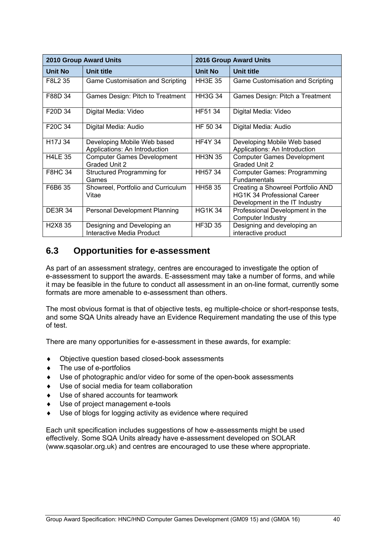|                                  | <b>2010 Group Award Units</b>                                |                | <b>2016 Group Award Units</b>                                                                             |
|----------------------------------|--------------------------------------------------------------|----------------|-----------------------------------------------------------------------------------------------------------|
| Unit No                          | <b>Unit title</b>                                            | Unit No        | Unit title                                                                                                |
| F8L2 35                          | Game Customisation and Scripting                             | <b>HH3E 35</b> | Game Customisation and Scripting                                                                          |
| F88D 34                          | Games Design: Pitch to Treatment                             | <b>HH3G 34</b> | Games Design: Pitch a Treatment                                                                           |
| F <sub>20</sub> D <sub>34</sub>  | Digital Media: Video                                         | HF51 34        | Digital Media: Video                                                                                      |
| F <sub>20</sub> C 34             | Digital Media: Audio                                         | HF 50 34       | Digital Media: Audio                                                                                      |
| H <sub>17</sub> J 34             | Developing Mobile Web based<br>Applications: An Introduction | <b>HF4Y 34</b> | Developing Mobile Web based<br>Applications: An Introduction                                              |
| <b>H4LE 35</b>                   | <b>Computer Games Development</b><br>Graded Unit 2           | <b>HH3N 35</b> | <b>Computer Games Development</b><br><b>Graded Unit 2</b>                                                 |
| <b>F8HC 34</b>                   | Structured Programming for<br>Games                          | HH57 34        | <b>Computer Games: Programming</b><br><b>Fundamentals</b>                                                 |
| F6B6 35                          | Showreel, Portfolio and Curriculum<br>Vitae                  | HH58 35        | Creating a Showreel Portfolio AND<br><b>HG1K 34 Professional Career</b><br>Development in the IT Industry |
| <b>DE3R 34</b>                   | Personal Development Planning                                | <b>HG1K34</b>  | Professional Development in the<br>Computer Industry                                                      |
| H <sub>2</sub> X <sub>8</sub> 35 | Designing and Developing an<br>Interactive Media Product     | <b>HF3D 35</b> | Designing and developing an<br>interactive product                                                        |

### **6.3 Opportunities for e-assessment**

As part of an assessment strategy, centres are encouraged to investigate the option of e-assessment to support the awards. E-assessment may take a number of forms, and while it may be feasible in the future to conduct all assessment in an on-line format, currently some formats are more amenable to e-assessment than others.

The most obvious format is that of objective tests, eg multiple-choice or short-response tests, and some SQA Units already have an Evidence Requirement mandating the use of this type of test.

There are many opportunities for e-assessment in these awards, for example:

- ◆ Objective question based closed-book assessments
- ◆ The use of e-portfolios
- Use of photographic and/or video for some of the open-book assessments
- Use of social media for team collaboration
- Use of shared accounts for teamwork
- Use of project management e-tools
- Use of blogs for logging activity as evidence where required

Each unit specification includes suggestions of how e-assessments might be used effectively. Some SQA Units already have e-assessment developed on SOLAR (www.sqasolar.org.uk) and centres are encouraged to use these where appropriate.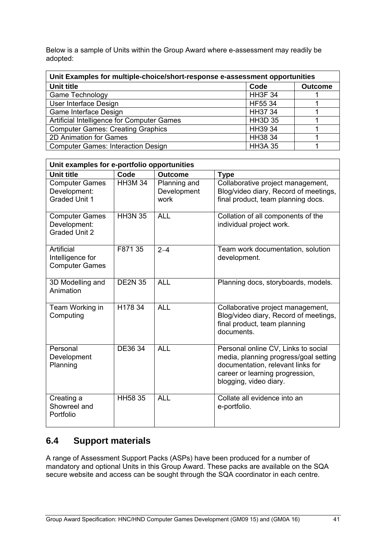Below is a sample of Units within the Group Award where e-assessment may readily be adopted:

| Unit Examples for multiple-choice/short-response e-assessment opportunities |                |                |  |  |  |
|-----------------------------------------------------------------------------|----------------|----------------|--|--|--|
| <b>Unit title</b>                                                           | Code           | <b>Outcome</b> |  |  |  |
| Game Technology                                                             | <b>HH3F 34</b> |                |  |  |  |
| User Interface Design                                                       | HF55 34        |                |  |  |  |
| Game Interface Design                                                       | HH37 34        |                |  |  |  |
| Artificial Intelligence for Computer Games                                  | <b>HH3D 35</b> |                |  |  |  |
| <b>Computer Games: Creating Graphics</b>                                    | HH39 34        |                |  |  |  |
| 2D Animation for Games                                                      | HH38 34        |                |  |  |  |
| <b>Computer Games: Interaction Design</b>                                   | <b>HH3A 35</b> |                |  |  |  |

| Unit examples for e-portfolio opportunities                   |                |                                     |                                                                                                                                                                                |  |  |  |
|---------------------------------------------------------------|----------------|-------------------------------------|--------------------------------------------------------------------------------------------------------------------------------------------------------------------------------|--|--|--|
| <b>Unit title</b>                                             | Code           | <b>Outcome</b>                      | <b>Type</b>                                                                                                                                                                    |  |  |  |
| <b>Computer Games</b><br>Development:<br><b>Graded Unit 1</b> | <b>HH3M 34</b> | Planning and<br>Development<br>work | Collaborative project management,<br>Blog/video diary, Record of meetings,<br>final product, team planning docs.                                                               |  |  |  |
| <b>Computer Games</b><br>Development:<br><b>Graded Unit 2</b> | <b>HH3N 35</b> | <b>ALL</b>                          | Collation of all components of the<br>individual project work.                                                                                                                 |  |  |  |
| Artificial<br>Intelligence for<br><b>Computer Games</b>       | F871 35        | $2 - 4$                             | Team work documentation, solution<br>development.                                                                                                                              |  |  |  |
| 3D Modelling and<br>Animation                                 | <b>DE2N 35</b> | <b>ALL</b>                          | Planning docs, storyboards, models.                                                                                                                                            |  |  |  |
| Team Working in<br>Computing                                  | H178 34        | <b>ALL</b>                          | Collaborative project management,<br>Blog/video diary, Record of meetings,<br>final product, team planning<br>documents.                                                       |  |  |  |
| Personal<br>Development<br>Planning                           | DE36 34        | <b>ALL</b>                          | Personal online CV, Links to social<br>media, planning progress/goal setting<br>documentation, relevant links for<br>career or learning progression,<br>blogging, video diary. |  |  |  |
| Creating a<br>Showreel and<br>Portfolio                       | <b>HH58 35</b> | <b>ALL</b>                          | Collate all evidence into an<br>e-portfolio.                                                                                                                                   |  |  |  |

## **6.4 Support materials**

A range of Assessment Support Packs (ASPs) have been produced for a number of mandatory and optional Units in this Group Award. These packs are available on the SQA secure website and access can be sought through the SQA coordinator in each centre.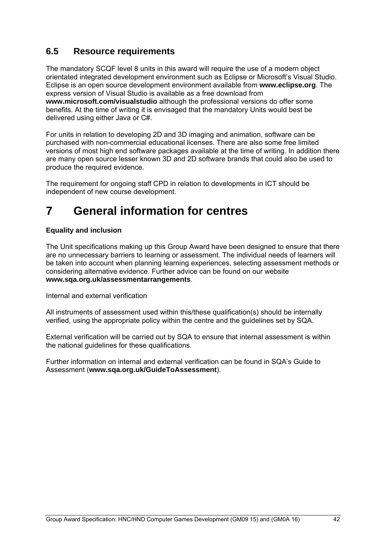# **6.5 Resource requirements**

The mandatory SCQF level 8 units in this award will require the use of a modern object orientated integrated development environment such as Eclipse or Microsoft's Visual Studio. Eclipse is an open source development environment available from **www.eclipse.org**. The express version of Visual Studio is available as a free download from **www.microsoft.com/visualstudio** although the professional versions do offer some benefits. At the time of writing it is envisaged that the mandatory Units would best be delivered using either Java or C#.

For units in relation to developing 2D and 3D imaging and animation, software can be purchased with non-commercial educational licenses. There are also some free limited versions of most high end software packages available at the time of writing. In addition there are many open source lesser known 3D and 2D software brands that could also be used to produce the required evidence.

The requirement for ongoing staff CPD in relation to developments in ICT should be independent of new course development.

# **7 General information for centres**

#### **Equality and inclusion**

The Unit specifications making up this Group Award have been designed to ensure that there are no unnecessary barriers to learning or assessment. The individual needs of learners will be taken into account when planning learning experiences, selecting assessment methods or considering alternative evidence. Further advice can be found on our website **www.sqa.org.uk/assessmentarrangements**.

Internal and external verification

All instruments of assessment used within this/these qualification(s) should be internally verified, using the appropriate policy within the centre and the guidelines set by SQA.

External verification will be carried out by SQA to ensure that internal assessment is within the national guidelines for these qualifications.

Further information on internal and external verification can be found in SQA's Guide to Assessment (**www.sqa.org.uk/GuideToAssessment**).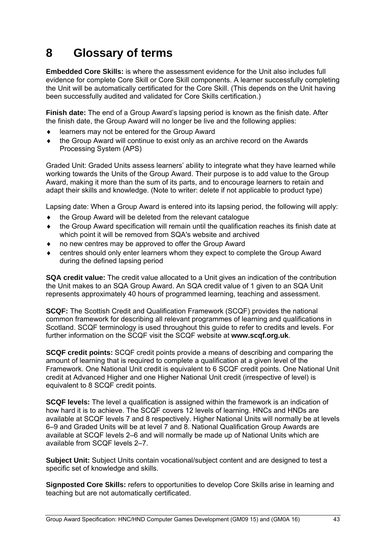# **8 Glossary of terms**

**Embedded Core Skills:** is where the assessment evidence for the Unit also includes full evidence for complete Core Skill or Core Skill components. A learner successfully completing the Unit will be automatically certificated for the Core Skill. (This depends on the Unit having been successfully audited and validated for Core Skills certification.)

**Finish date:** The end of a Group Award's lapsing period is known as the finish date. After the finish date, the Group Award will no longer be live and the following applies:

- learners may not be entered for the Group Award
- the Group Award will continue to exist only as an archive record on the Awards Processing System (APS)

Graded Unit: Graded Units assess learners' ability to integrate what they have learned while working towards the Units of the Group Award. Their purpose is to add value to the Group Award, making it more than the sum of its parts, and to encourage learners to retain and adapt their skills and knowledge. (Note to writer: delete if not applicable to product type)

Lapsing date: When a Group Award is entered into its lapsing period, the following will apply:

- ◆ the Group Award will be deleted from the relevant catalogue
- the Group Award specification will remain until the qualification reaches its finish date at which point it will be removed from SQA's website and archived
- no new centres may be approved to offer the Group Award
- centres should only enter learners whom they expect to complete the Group Award during the defined lapsing period

**SQA credit value:** The credit value allocated to a Unit gives an indication of the contribution the Unit makes to an SQA Group Award. An SQA credit value of 1 given to an SQA Unit represents approximately 40 hours of programmed learning, teaching and assessment.

**SCQF:** The Scottish Credit and Qualification Framework (SCQF) provides the national common framework for describing all relevant programmes of learning and qualifications in Scotland. SCQF terminology is used throughout this guide to refer to credits and levels. For further information on the SCQF visit the SCQF website at **www.scqf.org.uk**.

**SCQF credit points:** SCQF credit points provide a means of describing and comparing the amount of learning that is required to complete a qualification at a given level of the Framework. One National Unit credit is equivalent to 6 SCQF credit points. One National Unit credit at Advanced Higher and one Higher National Unit credit (irrespective of level) is equivalent to 8 SCQF credit points.

**SCQF levels:** The level a qualification is assigned within the framework is an indication of how hard it is to achieve. The SCQF covers 12 levels of learning. HNCs and HNDs are available at SCQF levels 7 and 8 respectively. Higher National Units will normally be at levels 6–9 and Graded Units will be at level 7 and 8. National Qualification Group Awards are available at SCQF levels 2–6 and will normally be made up of National Units which are available from SCQF levels 2–7.

**Subject Unit:** Subject Units contain vocational/subject content and are designed to test a specific set of knowledge and skills.

**Signposted Core Skills:** refers to opportunities to develop Core Skills arise in learning and teaching but are not automatically certificated.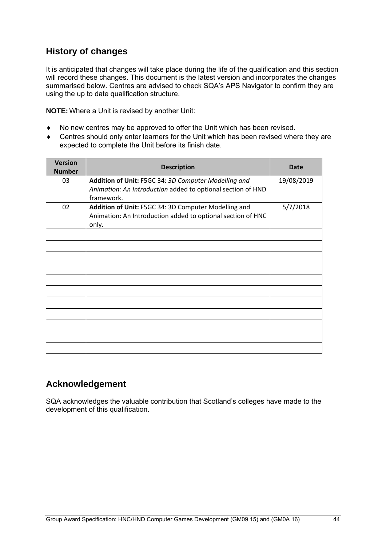# **History of changes**

It is anticipated that changes will take place during the life of the qualification and this section will record these changes. This document is the latest version and incorporates the changes summarised below. Centres are advised to check SQA's APS Navigator to confirm they are using the up to date qualification structure.

**NOTE:** Where a Unit is revised by another Unit:

- No new centres may be approved to offer the Unit which has been revised.
- Centres should only enter learners for the Unit which has been revised where they are expected to complete the Unit before its finish date.

| <b>Version</b><br><b>Number</b> | <b>Description</b>                                                                                                                | Date       |
|---------------------------------|-----------------------------------------------------------------------------------------------------------------------------------|------------|
| 03                              | Addition of Unit: F5GC 34: 3D Computer Modelling and<br>Animation: An Introduction added to optional section of HND<br>framework. | 19/08/2019 |
| 02                              | Addition of Unit: F5GC 34: 3D Computer Modelling and<br>Animation: An Introduction added to optional section of HNC<br>only.      | 5/7/2018   |
|                                 |                                                                                                                                   |            |
|                                 |                                                                                                                                   |            |
|                                 |                                                                                                                                   |            |
|                                 |                                                                                                                                   |            |
|                                 |                                                                                                                                   |            |
|                                 |                                                                                                                                   |            |
|                                 |                                                                                                                                   |            |
|                                 |                                                                                                                                   |            |

## **Acknowledgement**

SQA acknowledges the valuable contribution that Scotland's colleges have made to the development of this qualification.